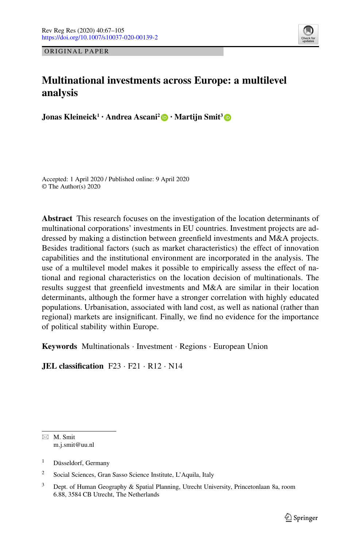

ORIGINAL PAPER

# **Multinational investments across Europe: a multilevel analysis**

**Jonas Kleineick1 · Andrea Ascani2 · Martijn Smit3**

Accepted: 1 April 2020 / Published online: 9 April 2020 © The Author(s) 2020

**Abstract** This research focuses on the investigation of the location determinants of multinational corporations' investments in EU countries. Investment projects are addressed by making a distinction between greenfield investments and M&A projects. Besides traditional factors (such as market characteristics) the effect of innovation capabilities and the institutional environment are incorporated in the analysis. The use of a multilevel model makes it possible to empirically assess the effect of national and regional characteristics on the location decision of multinationals. The results suggest that greenfield investments and M&A are similar in their location determinants, although the former have a stronger correlation with highly educated populations. Urbanisation, associated with land cost, as well as national (rather than regional) markets are insignificant. Finally, we find no evidence for the importance of political stability within Europe.

**Keywords** Multinationals · Investment · Regions · European Union

**JEL classification** F23 · F21 · R12 · N14

 $\boxtimes$  M. Smit m.j.smit@uu.nl

<sup>1</sup> Düsseldorf, Germany

<sup>2</sup> Social Sciences, Gran Sasso Science Institute, L'Aquila, Italy

<sup>&</sup>lt;sup>3</sup> Dept. of Human Geography & Spatial Planning, Utrecht University, Princetonlaan 8a, room 6.88, 3584 CB Utrecht, The Netherlands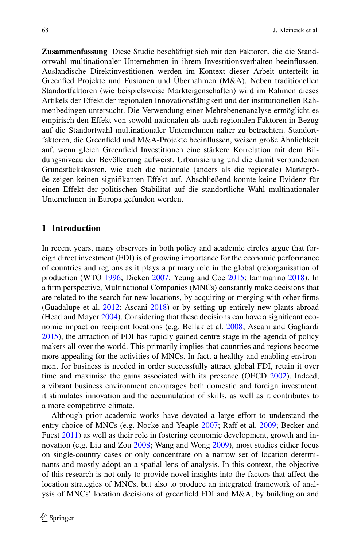**Zusammenfassung** Diese Studie beschäftigt sich mit den Faktoren, die die Standortwahl multinationaler Unternehmen in ihrem Investitionsverhalten beeinflussen. Ausländische Direktinvestitionen werden im Kontext dieser Arbeit unterteilt in Greenfied Projekte und Fusionen und Übernahmen (M&A). Neben traditionellen Standortfaktoren (wie beispielsweise Markteigenschaften) wird im Rahmen dieses Artikels der Effekt der regionalen Innovationsfähigkeit und der institutionellen Rahmenbedingen untersucht. Die Verwendung einer Mehrebenenanalyse ermöglicht es empirisch den Effekt von sowohl nationalen als auch regionalen Faktoren in Bezug auf die Standortwahl multinationaler Unternehmen näher zu betrachten. Standortfaktoren, die Greenfield und M&A-Projekte beeinflussen, weisen große Ähnlichkeit auf, wenn gleich Greenfield Investitionen eine stärkere Korrelation mit dem Bildungsniveau der Bevölkerung aufweist. Urbanisierung und die damit verbundenen Grundstückskosten, wie auch die nationale (anders als die regionale) Marktgröße zeigen keinen signifikanten Effekt auf. Abschließend konnte keine Evidenz für einen Effekt der politischen Stabilität auf die standörtliche Wahl multinationaler Unternehmen in Europa gefunden werden.

# **1 Introduction**

In recent years, many observers in both policy and academic circles argue that foreign direct investment (FDI) is of growing importance for the economic performance of countries and regions as it plays a primary role in the global (re)organisation of production (WTO [1996;](#page-38-0) Dicken [2007;](#page-37-0) Yeung and Coe [2015;](#page-38-1) Iammarino [2018\)](#page-37-1). In a firm perspective, Multinational Companies (MNCs) constantly make decisions that are related to the search for new locations, by acquiring or merging with other firms (Guadalupe et al. [2012;](#page-37-2) Ascani [2018\)](#page-36-0) or by setting up entirely new plants abroad (Head and Mayer [2004\)](#page-37-3). Considering that these decisions can have a significant economic impact on recipient locations (e.g. Bellak et al. [2008;](#page-36-1) Ascani and Gagliardi [2015\)](#page-36-2), the attraction of FDI has rapidly gained centre stage in the agenda of policy makers all over the world. This primarily implies that countries and regions become more appealing for the activities of MNCs. In fact, a healthy and enabling environment for business is needed in order successfully attract global FDI, retain it over time and maximise the gains associated with its presence (OECD [2002\)](#page-38-2). Indeed, a vibrant business environment encourages both domestic and foreign investment, it stimulates innovation and the accumulation of skills, as well as it contributes to a more competitive climate.

Although prior academic works have devoted a large effort to understand the entry choice of MNCs (e.g. Nocke and Yeaple [2007;](#page-38-3) Raff et al. [2009;](#page-38-4) Becker and Fuest [2011\)](#page-36-3) as well as their role in fostering economic development, growth and innovation (e.g. Liu and Zou [2008;](#page-38-5) Wang and Wong [2009\)](#page-38-6), most studies either focus on single-country cases or only concentrate on a narrow set of location determinants and mostly adopt an a-spatial lens of analysis. In this context, the objective of this research is not only to provide novel insights into the factors that affect the location strategies of MNCs, but also to produce an integrated framework of analysis of MNCs' location decisions of greenfield FDI and M&A, by building on and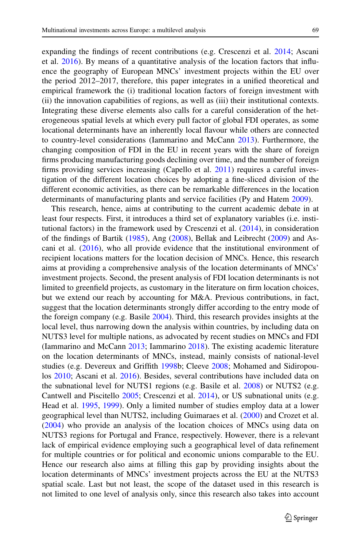expanding the findings of recent contributions (e.g. Crescenzi et al. [2014;](#page-36-4) Ascani et al. [2016\)](#page-36-5). By means of a quantitative analysis of the location factors that influence the geography of European MNCs' investment projects within the EU over the period 2012–2017, therefore, this paper integrates in a unified theoretical and empirical framework the (i) traditional location factors of foreign investment with (ii) the innovation capabilities of regions, as well as (iii) their institutional contexts. Integrating these diverse elements also calls for a careful consideration of the heterogeneous spatial levels at which every pull factor of global FDI operates, as some locational determinants have an inherently local flavour while others are connected to country-level considerations (Iammarino and McCann [2013\)](#page-37-4). Furthermore, the changing composition of FDI in the EU in recent years with the share of foreign firms producing manufacturing goods declining over time, and the number of foreign firms providing services increasing (Capello et al. [2011\)](#page-36-6) requires a careful investigation of the different location choices by adopting a fine-sliced division of the different economic activities, as there can be remarkable differences in the location determinants of manufacturing plants and service facilities (Py and Hatem [2009\)](#page-38-7).

This research, hence, aims at contributing to the current academic debate in at least four respects. First, it introduces a third set of explanatory variables (i.e. institutional factors) in the framework used by Crescenzi et al. [\(2014\)](#page-36-4), in consideration of the findings of Bartik [\(1985\)](#page-36-7), Ang [\(2008\)](#page-36-8), Bellak and Leibrecht [\(2009\)](#page-36-9) and Ascani et al. [\(2016\)](#page-36-5), who all provide evidence that the institutional environment of recipient locations matters for the location decision of MNCs. Hence, this research aims at providing a comprehensive analysis of the location determinants of MNCs' investment projects. Second, the present analysis of FDI location determinants is not limited to greenfield projects, as customary in the literature on firm location choices, but we extend our reach by accounting for M&A. Previous contributions, in fact, suggest that the location determinants strongly differ according to the entry mode of the foreign company (e.g. Basile  $2004$ ). Third, this research provides insights at the local level, thus narrowing down the analysis within countries, by including data on NUTS3 level for multiple nations, as advocated by recent studies on MNCs and FDI (Iammarino and McCann [2013;](#page-37-4) Iammarino [2018\)](#page-37-1). The existing academic literature on the location determinants of MNCs, instead, mainly consists of national-level studies (e.g. Devereux and Griffith [1998b](#page-37-5); Cleeve [2008;](#page-36-11) Mohamed and Sidiropoulos [2010;](#page-38-8) Ascani et al. [2016\)](#page-36-5). Besides, several contributions have included data on the subnational level for NUTS1 regions (e.g. Basile et al. [2008\)](#page-36-12) or NUTS2 (e.g. Cantwell and Piscitello [2005;](#page-36-13) Crescenzi et al. [2014\)](#page-36-4), or US subnational units (e.g. Head et al. [1995,](#page-37-6) [1999\)](#page-37-7). Only a limited number of studies employ data at a lower geographical level than NUTS2, including Guimaraes et al. [\(2000\)](#page-37-8) and Crozet et al. [\(2004\)](#page-36-14) who provide an analysis of the location choices of MNCs using data on NUTS3 regions for Portugal and France, respectively. However, there is a relevant lack of empirical evidence employing such a geographical level of data refinement for multiple countries or for political and economic unions comparable to the EU. Hence our research also aims at filling this gap by providing insights about the location determinants of MNCs' investment projects across the EU at the NUTS3 spatial scale. Last but not least, the scope of the dataset used in this research is not limited to one level of analysis only, since this research also takes into account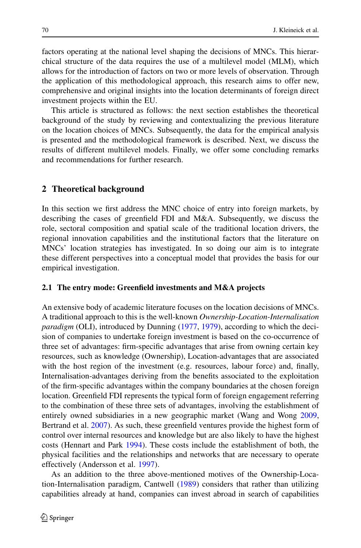factors operating at the national level shaping the decisions of MNCs. This hierarchical structure of the data requires the use of a multilevel model (MLM), which allows for the introduction of factors on two or more levels of observation. Through the application of this methodological approach, this research aims to offer new, comprehensive and original insights into the location determinants of foreign direct investment projects within the EU.

This article is structured as follows: the next section establishes the theoretical background of the study by reviewing and contextualizing the previous literature on the location choices of MNCs. Subsequently, the data for the empirical analysis is presented and the methodological framework is described. Next, we discuss the results of different multilevel models. Finally, we offer some concluding remarks and recommendations for further research.

# **2 Theoretical background**

In this section we first address the MNC choice of entry into foreign markets, by describing the cases of greenfield FDI and M&A. Subsequently, we discuss the role, sectoral composition and spatial scale of the traditional location drivers, the regional innovation capabilities and the institutional factors that the literature on MNCs' location strategies has investigated. In so doing our aim is to integrate these different perspectives into a conceptual model that provides the basis for our empirical investigation.

#### **2.1 The entry mode: Greenfield investments and M&A projects**

An extensive body of academic literature focuses on the location decisions of MNCs. A traditional approach to this is the well-known *Ownership-Location-Internalisation paradigm* (OLI), introduced by Dunning [\(1977,](#page-37-9) [1979\)](#page-37-10), according to which the decision of companies to undertake foreign investment is based on the co-occurrence of three set of advantages: firm-specific advantages that arise from owning certain key resources, such as knowledge (Ownership), Location-advantages that are associated with the host region of the investment (e.g. resources, labour force) and, finally, Internalisation-advantages deriving from the benefits associated to the exploitation of the firm-specific advantages within the company boundaries at the chosen foreign location. Greenfield FDI represents the typical form of foreign engagement referring to the combination of these three sets of advantages, involving the establishment of entirely owned subsidiaries in a new geographic market (Wang and Wong [2009,](#page-38-6) Bertrand et al. [2007\)](#page-36-15). As such, these greenfield ventures provide the highest form of control over internal resources and knowledge but are also likely to have the highest costs (Hennart and Park [1994\)](#page-37-11). These costs include the establishment of both, the physical facilities and the relationships and networks that are necessary to operate effectively (Andersson et al. [1997\)](#page-36-16).

As an addition to the three above-mentioned motives of the Ownership-Location-Internalisation paradigm, Cantwell [\(1989\)](#page-36-17) considers that rather than utilizing capabilities already at hand, companies can invest abroad in search of capabilities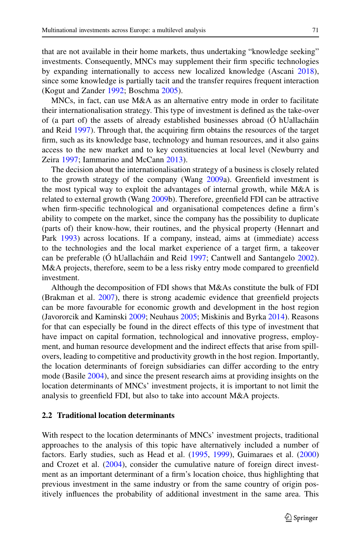that are not available in their home markets, thus undertaking "knowledge seeking" investments. Consequently, MNCs may supplement their firm specific technologies by expanding internationally to access new localized knowledge (Ascani [2018\)](#page-36-0), since some knowledge is partially tacit and the transfer requires frequent interaction (Kogut and Zander [1992;](#page-37-12) Boschma [2005\)](#page-36-18).

MNCs, in fact, can use M&A as an alternative entry mode in order to facilitate their internationalisation strategy. This type of investment is defined as the take-over of (a part of) the assets of already established businesses abroad (Ó hUallacháin and Reid [1997\)](#page-38-9). Through that, the acquiring firm obtains the resources of the target firm, such as its knowledge base, technology and human resources, and it also gains access to the new market and to key constituencies at local level (Newburry and Zeira [1997;](#page-38-10) Iammarino and McCann [2013\)](#page-37-4).

The decision about the internationalisation strategy of a business is closely related to the growth strategy of the company (Wang [2009a](#page-38-11)). Greenfield investment is the most typical way to exploit the advantages of internal growth, while M&A is related to external growth (Wang [2009b](#page-38-12)). Therefore, greenfield FDI can be attractive when firm-specific technological and organisational competences define a firm's ability to compete on the market, since the company has the possibility to duplicate (parts of) their know-how, their routines, and the physical property (Hennart and Park [1993\)](#page-37-13) across locations. If a company, instead, aims at (immediate) access to the technologies and the local market experience of a target firm, a takeover can be preferable (Ó hUallacháin and Reid [1997;](#page-38-9) Cantwell and Santangelo [2002\)](#page-36-19). M&A projects, therefore, seem to be a less risky entry mode compared to greenfield investment.

Although the decomposition of FDI shows that M&As constitute the bulk of FDI (Brakman et al. [2007\)](#page-36-20), there is strong academic evidence that greenfield projects can be more favourable for economic growth and development in the host region (Javororcik and Kaminski [2009;](#page-37-14) Neuhaus [2005;](#page-38-13) Miskinis and Byrka [2014\)](#page-38-14). Reasons for that can especially be found in the direct effects of this type of investment that have impact on capital formation, technological and innovative progress, employment, and human resource development and the indirect effects that arise from spillovers, leading to competitive and productivity growth in the host region. Importantly, the location determinants of foreign subsidiaries can differ according to the entry mode (Basile [2004\)](#page-36-10), and since the present research aims at providing insights on the location determinants of MNCs' investment projects, it is important to not limit the analysis to greenfield FDI, but also to take into account M&A projects.

# **2.2 Traditional location determinants**

With respect to the location determinants of MNCs' investment projects, traditional approaches to the analysis of this topic have alternatively included a number of factors. Early studies, such as Head et al. [\(1995,](#page-37-6) [1999\)](#page-37-7), Guimaraes et al. [\(2000\)](#page-37-8) and Crozet et al. [\(2004\)](#page-36-14), consider the cumulative nature of foreign direct investment as an important determinant of a firm's location choice, thus highlighting that previous investment in the same industry or from the same country of origin positively influences the probability of additional investment in the same area. This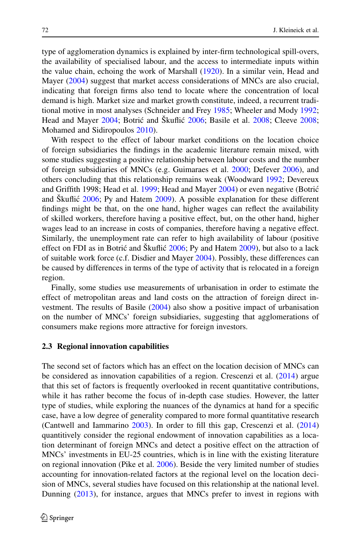type of agglomeration dynamics is explained by inter-firm technological spill-overs, the availability of specialised labour, and the access to intermediate inputs within the value chain, echoing the work of Marshall [\(1920\)](#page-38-15). In a similar vein, Head and Mayer [\(2004\)](#page-37-3) suggest that market access considerations of MNCs are also crucial, indicating that foreign firms also tend to locate where the concentration of local demand is high. Market size and market growth constitute, indeed, a recurrent traditional motive in most analyses (Schneider and Frey [1985;](#page-38-16) Wheeler and Mody [1992;](#page-38-17) Head and Mayer [2004;](#page-37-3) Botrić and Škuflić [2006;](#page-36-21) Basile et al. [2008;](#page-36-11) Cleeve 2008; Mohamed and Sidiropoulos [2010\)](#page-38-8).

With respect to the effect of labour market conditions on the location choice of foreign subsidiaries the findings in the academic literature remain mixed, with some studies suggesting a positive relationship between labour costs and the number of foreign subsidiaries of MNCs (e.g. Guimaraes et al. [2000;](#page-37-8) Defever [2006\)](#page-36-22), and others concluding that this relationship remains weak (Woodward [1992;](#page-38-18) Devereux and Griffith 1998; Head et al. [1999;](#page-37-7) Head and Mayer [2004\)](#page-37-3) or even negative (Botric´ and Škuflic<sup> $2006$ </sup>; Py and Hatem [2009\)](#page-38-7). A possible explanation for these different findings might be that, on the one hand, higher wages can reflect the availability of skilled workers, therefore having a positive effect, but, on the other hand, higher wages lead to an increase in costs of companies, therefore having a negative effect. Similarly, the unemployment rate can refer to high availability of labour (positive effect on FDI as in Botrić and Škuflić  $2006$ ; Py and Hatem  $2009$ ), but also to a lack of suitable work force (c.f. Disdier and Mayer [2004\)](#page-37-15). Possibly, these differences can be caused by differences in terms of the type of activity that is relocated in a foreign region.

Finally, some studies use measurements of urbanisation in order to estimate the effect of metropolitan areas and land costs on the attraction of foreign direct investment. The results of Basile [\(2004\)](#page-36-10) also show a positive impact of urbanisation on the number of MNCs' foreign subsidiaries, suggesting that agglomerations of consumers make regions more attractive for foreign investors.

#### **2.3 Regional innovation capabilities**

The second set of factors which has an effect on the location decision of MNCs can be considered as innovation capabilities of a region. Crescenzi et al. [\(2014\)](#page-36-4) argue that this set of factors is frequently overlooked in recent quantitative contributions, while it has rather become the focus of in-depth case studies. However, the latter type of studies, while exploring the nuances of the dynamics at hand for a specific case, have a low degree of generality compared to more formal quantitative research (Cantwell and Iammarino [2003\)](#page-36-23). In order to fill this gap, Crescenzi et al. [\(2014\)](#page-36-4) quantitively consider the regional endowment of innovation capabilities as a location determinant of foreign MNCs and detect a positive effect on the attraction of MNCs' investments in EU-25 countries, which is in line with the existing literature on regional innovation (Pike et al. [2006\)](#page-38-19). Beside the very limited number of studies accounting for innovation-related factors at the regional level on the location decision of MNCs, several studies have focused on this relationship at the national level. Dunning [\(2013\)](#page-37-16), for instance, argues that MNCs prefer to invest in regions with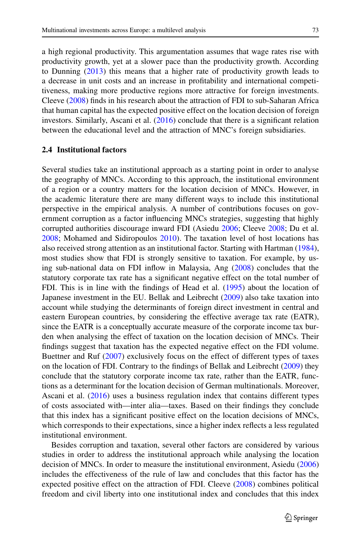a high regional productivity. This argumentation assumes that wage rates rise with productivity growth, yet at a slower pace than the productivity growth. According to Dunning [\(2013\)](#page-37-16) this means that a higher rate of productivity growth leads to a decrease in unit costs and an increase in profitability and international competitiveness, making more productive regions more attractive for foreign investments. Cleeve [\(2008\)](#page-36-11) finds in his research about the attraction of FDI to sub-Saharan Africa that human capital has the expected positive effect on the location decision of foreign investors. Similarly, Ascani et al. [\(2016\)](#page-36-5) conclude that there is a significant relation between the educational level and the attraction of MNC's foreign subsidiaries.

#### **2.4 Institutional factors**

Several studies take an institutional approach as a starting point in order to analyse the geography of MNCs. According to this approach, the institutional environment of a region or a country matters for the location decision of MNCs. However, in the academic literature there are many different ways to include this institutional perspective in the empirical analysis. A number of contributions focuses on government corruption as a factor influencing MNCs strategies, suggesting that highly corrupted authorities discourage inward FDI (Asiedu [2006;](#page-36-24) Cleeve [2008;](#page-36-11) Du et al. [2008;](#page-37-17) Mohamed and Sidiropoulos [2010\)](#page-38-8). The taxation level of host locations has also received strong attention as an institutional factor. Starting with Hartman [\(1984\)](#page-37-18), most studies show that FDI is strongly sensitive to taxation. For example, by using sub-national data on FDI inflow in Malaysia, Ang [\(2008\)](#page-36-8) concludes that the statutory corporate tax rate has a significant negative effect on the total number of FDI. This is in line with the findings of Head et al. [\(1995\)](#page-37-6) about the location of Japanese investment in the EU. Bellak and Leibrecht [\(2009\)](#page-36-9) also take taxation into account while studying the determinants of foreign direct investment in central and eastern European countries, by considering the effective average tax rate (EATR), since the EATR is a conceptually accurate measure of the corporate income tax burden when analysing the effect of taxation on the location decision of MNCs. Their findings suggest that taxation has the expected negative effect on the FDI volume. Buettner and Ruf [\(2007\)](#page-36-25) exclusively focus on the effect of different types of taxes on the location of FDI. Contrary to the findings of Bellak and Leibrecht [\(2009\)](#page-36-9) they conclude that the statutory corporate income tax rate, rather than the EATR, functions as a determinant for the location decision of German multinationals. Moreover, Ascani et al. [\(2016\)](#page-36-5) uses a business regulation index that contains different types of costs associated with—inter alia—taxes. Based on their findings they conclude that this index has a significant positive effect on the location decisions of MNCs, which corresponds to their expectations, since a higher index reflects a less regulated institutional environment.

Besides corruption and taxation, several other factors are considered by various studies in order to address the institutional approach while analysing the location decision of MNCs. In order to measure the institutional environment, Asiedu [\(2006\)](#page-36-24) includes the effectiveness of the rule of law and concludes that this factor has the expected positive effect on the attraction of FDI. Cleeve [\(2008\)](#page-36-11) combines political freedom and civil liberty into one institutional index and concludes that this index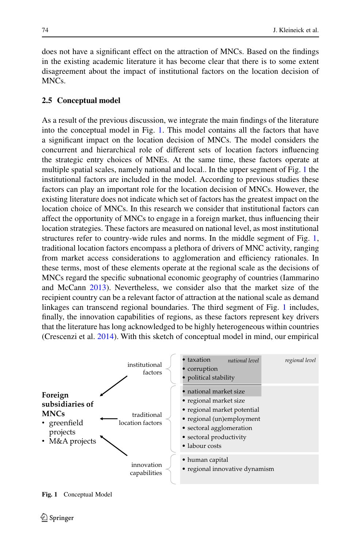does not have a significant effect on the attraction of MNCs. Based on the findings in the existing academic literature it has become clear that there is to some extent disagreement about the impact of institutional factors on the location decision of MNCs.

### **2.5 Conceptual model**

As a result of the previous discussion, we integrate the main findings of the literature into the conceptual model in Fig. [1.](#page-7-0) This model contains all the factors that have a significant impact on the location decision of MNCs. The model considers the concurrent and hierarchical role of different sets of location factors influencing the strategic entry choices of MNEs. At the same time, these factors operate at multiple spatial scales, namely national and local.. In the upper segment of Fig. [1](#page-7-0) the institutional factors are included in the model. According to previous studies these factors can play an important role for the location decision of MNCs. However, the existing literature does not indicate which set of factors has the greatest impact on the location choice of MNCs. In this research we consider that institutional factors can affect the opportunity of MNCs to engage in a foreign market, thus influencing their location strategies. These factors are measured on national level, as most institutional structures refer to country-wide rules and norms. In the middle segment of Fig. [1,](#page-7-0) traditional location factors encompass a plethora of drivers of MNC activity, ranging from market access considerations to agglomeration and efficiency rationales. In these terms, most of these elements operate at the regional scale as the decisions of MNCs regard the specific subnational economic geography of countries (Iammarino and McCann [2013\)](#page-37-4). Nevertheless, we consider also that the market size of the recipient country can be a relevant factor of attraction at the national scale as demand linkages can transcend regional boundaries. The third segment of Fig. [1](#page-7-0) includes, finally, the innovation capabilities of regions, as these factors represent key drivers that the literature has long acknowledged to be highly heterogeneous within countries (Crescenzi et al. [2014\)](#page-36-4). With this sketch of conceptual model in mind, our empirical



<span id="page-7-0"></span>**Fig. 1** Conceptual Model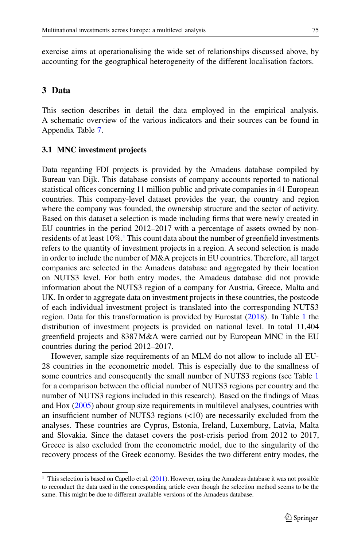exercise aims at operationalising the wide set of relationships discussed above, by accounting for the geographical heterogeneity of the different localisation factors.

# **3 Data**

This section describes in detail the data employed in the empirical analysis. A schematic overview of the various indicators and their sources can be found in Appendix Table [7.](#page-29-0)

#### **3.1 MNC investment projects**

Data regarding FDI projects is provided by the Amadeus database compiled by Bureau van Dijk. This database consists of company accounts reported to national statistical offices concerning 11 million public and private companies in 41 European countries. This company-level dataset provides the year, the country and region where the company was founded, the ownership structure and the sector of activity. Based on this dataset a selection is made including firms that were newly created in EU countries in the period 2012–2017 with a percentage of assets owned by nonresidents of at least 10%.<sup>1</sup> This count data about the number of greenfield investments refers to the quantity of investment projects in a region. A second selection is made in order to include the number of M&A projects in EU countries. Therefore, all target companies are selected in the Amadeus database and aggregated by their location on NUTS3 level. For both entry modes, the Amadeus database did not provide information about the NUTS3 region of a company for Austria, Greece, Malta and UK. In order to aggregate data on investment projects in these countries, the postcode of each individual investment project is translated into the corresponding NUTS3 region. Data for this transformation is provided by Eurostat [\(2018\)](#page-37-19). In Table [1](#page-9-0) the distribution of investment projects is provided on national level. In total 11,404 greenfield projects and 8387M&A were carried out by European MNC in the EU countries during the period 2012–2017.

However, sample size requirements of an MLM do not allow to include all EU-28 countries in the econometric model. This is especially due to the smallness of some countries and consequently the small number of NUTS3 regions (see Table [1](#page-9-0) for a comparison between the official number of NUTS3 regions per country and the number of NUTS3 regions included in this research). Based on the findings of Maas and Hox [\(2005\)](#page-38-20) about group size requirements in multilevel analyses, countries with an insufficient number of NUTS3 regions (<10) are necessarily excluded from the analyses. These countries are Cyprus, Estonia, Ireland, Luxemburg, Latvia, Malta and Slovakia. Since the dataset covers the post-crisis period from 2012 to 2017, Greece is also excluded from the econometric model, due to the singularity of the recovery process of the Greek economy. Besides the two different entry modes, the

<span id="page-8-0"></span><sup>&</sup>lt;sup>1</sup> This selection is based on Capello et al. [\(2011\)](#page-36-6). However, using the Amadeus database it was not possible to reconduct the data used in the corresponding article even though the selection method seems to be the same. This might be due to different available versions of the Amadeus database.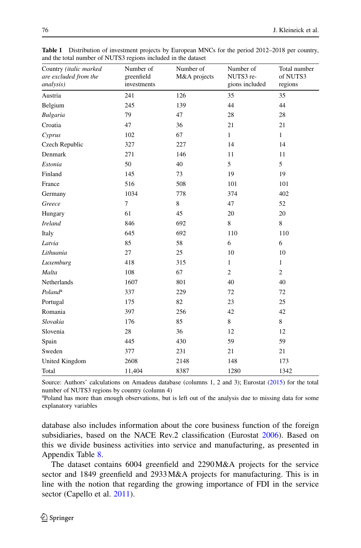<span id="page-9-0"></span>

| Country (italic marked<br>are excluded from the<br><i>analysis</i> ) | Number of<br>greenfield<br>investments | Number of<br>M&A projects | Number of<br>NUTS3 re-<br>gions included | Total number<br>of NUTS3<br>regions |
|----------------------------------------------------------------------|----------------------------------------|---------------------------|------------------------------------------|-------------------------------------|
| Austria                                                              | 241                                    | 126                       | 35                                       | 35                                  |
| Belgium                                                              | 245                                    | 139                       | 44                                       | 44                                  |
| <b>Bulgaria</b>                                                      | 79                                     | 47                        | 28                                       | 28                                  |
| Croatia                                                              | 47                                     | 36                        | 21                                       | 21                                  |
| Cyprus                                                               | 102                                    | 67                        | $\mathbf{1}$                             | $\mathbf{1}$                        |
| Czech Republic                                                       | 327                                    | 227                       | 14                                       | 14                                  |
| Denmark                                                              | 271                                    | 146                       | 11                                       | 11                                  |
| Estonia                                                              | 50                                     | 40                        | 5                                        | 5                                   |
| Finland                                                              | 145                                    | 73                        | 19                                       | 19                                  |
| France                                                               | 516                                    | 508                       | 101                                      | 101                                 |
| Germany                                                              | 1034                                   | 778                       | 374                                      | 402                                 |
| Greece                                                               | $\overline{7}$                         | 8                         | 47                                       | 52                                  |
| Hungary                                                              | 61                                     | 45                        | 20                                       | 20                                  |
| <b>Ireland</b>                                                       | 846                                    | 692                       | 8                                        | 8                                   |
| Italy                                                                | 645                                    | 692                       | 110                                      | 110                                 |
| Latvia                                                               | 85                                     | 58                        | 6                                        | 6                                   |
| Lithuania                                                            | 27                                     | 25                        | 10                                       | 10                                  |
| Luxemburg                                                            | 418                                    | 315                       | $\mathbf{1}$                             | $\mathbf{1}$                        |
| Malta                                                                | 108                                    | 67                        | $\mathfrak{2}$                           | $\overline{c}$                      |
| Netherlands                                                          | 1607                                   | 801                       | 40                                       | 40                                  |
| Poland <sup>a</sup>                                                  | 337                                    | 229                       | 72                                       | 72                                  |
| Portugal                                                             | 175                                    | 82                        | 23                                       | 25                                  |
| Romania                                                              | 397                                    | 256                       | 42                                       | 42                                  |
| Slovakia                                                             | 176                                    | 85                        | 8                                        | 8                                   |
| Slovenia                                                             | 28                                     | 36                        | 12                                       | 12                                  |
| Spain                                                                | 445                                    | 430                       | 59                                       | 59                                  |
| Sweden                                                               | 377                                    | 231                       | 21                                       | 21                                  |
| United Kingdom                                                       | 2608                                   | 2148                      | 148                                      | 173                                 |
| Total                                                                | 11,404                                 | 8387                      | 1280                                     | 1342                                |

**Table 1** Distribution of investment projects by European MNCs for the period 2012–2018 per country, and the total number of NUTS3 regions included in the dataset

Source: Authors' calculations on Amadeus database (columns 1, 2 and 3); Eurostat [\(2015\)](#page-37-20) for the total number of NUTS3 regions by country (column 4)

<sup>a</sup>Poland has more than enough observations, but is left out of the analysis due to missing data for some explanatory variables

database also includes information about the core business function of the foreign subsidiaries, based on the NACE Rev.2 classification (Eurostat [2006\)](#page-37-21). Based on this we divide business activities into service and manufacturing, as presented in Appendix Table [8.](#page-30-0)

The dataset contains 6004 greenfield and 2290M&A projects for the service sector and 1849 greenfield and 2933M&A projects for manufacturing. This is in line with the notion that regarding the growing importance of FDI in the service sector (Capello et al. [2011\)](#page-36-6).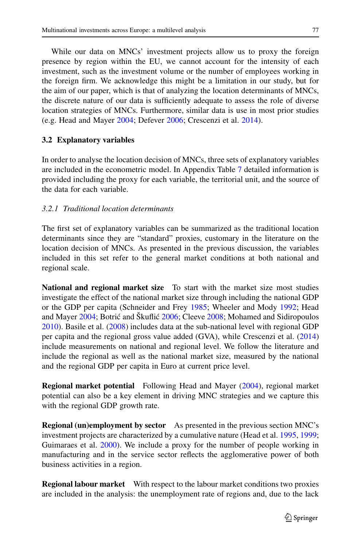While our data on MNCs' investment projects allow us to proxy the foreign presence by region within the EU, we cannot account for the intensity of each investment, such as the investment volume or the number of employees working in the foreign firm. We acknowledge this might be a limitation in our study, but for the aim of our paper, which is that of analyzing the location determinants of MNCs, the discrete nature of our data is sufficiently adequate to assess the role of diverse location strategies of MNCs. Furthermore, similar data is use in most prior studies (e.g. Head and Mayer [2004;](#page-37-3) Defever [2006;](#page-36-22) Crescenzi et al. [2014\)](#page-36-4).

# **3.2 Explanatory variables**

In order to analyse the location decision of MNCs, three sets of explanatory variables are included in the econometric model. In Appendix Table [7](#page-29-0) detailed information is provided including the proxy for each variable, the territorial unit, and the source of the data for each variable.

### *3.2.1 Traditional location determinants*

The first set of explanatory variables can be summarized as the traditional location determinants since they are "standard" proxies, customary in the literature on the location decision of MNCs. As presented in the previous discussion, the variables included in this set refer to the general market conditions at both national and regional scale.

**National and regional market size** To start with the market size most studies investigate the effect of the national market size through including the national GDP or the GDP per capita (Schneider and Frey [1985;](#page-38-16) Wheeler and Mody [1992;](#page-38-17) Head and Mayer [2004;](#page-37-3) Botric and Škuflic [2006;](#page-36-21) Cleeve [2008;](#page-36-11) Mohamed and Sidiropoulos [2010\)](#page-38-8). Basile et al. [\(2008\)](#page-36-12) includes data at the sub-national level with regional GDP per capita and the regional gross value added (GVA), while Crescenzi et al. [\(2014\)](#page-36-4) include measurements on national and regional level. We follow the literature and include the regional as well as the national market size, measured by the national and the regional GDP per capita in Euro at current price level.

**Regional market potential** Following Head and Mayer [\(2004\)](#page-37-3), regional market potential can also be a key element in driving MNC strategies and we capture this with the regional GDP growth rate.

**Regional (un)employment by sector** As presented in the previous section MNC's investment projects are characterized by a cumulative nature (Head et al. [1995,](#page-37-6) [1999;](#page-37-7) Guimaraes et al. [2000\)](#page-37-8). We include a proxy for the number of people working in manufacturing and in the service sector reflects the agglomerative power of both business activities in a region.

**Regional labour market** With respect to the labour market conditions two proxies are included in the analysis: the unemployment rate of regions and, due to the lack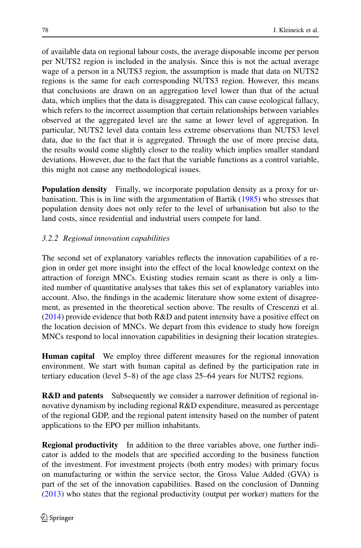of available data on regional labour costs, the average disposable income per person per NUTS2 region is included in the analysis. Since this is not the actual average wage of a person in a NUTS3 region, the assumption is made that data on NUTS2 regions is the same for each corresponding NUTS3 region. However, this means that conclusions are drawn on an aggregation level lower than that of the actual data, which implies that the data is disaggregated. This can cause ecological fallacy, which refers to the incorrect assumption that certain relationships between variables observed at the aggregated level are the same at lower level of aggregation. In particular, NUTS2 level data contain less extreme observations than NUTS3 level data, due to the fact that it is aggregated. Through the use of more precise data, the results would come slightly closer to the reality which implies smaller standard deviations. However, due to the fact that the variable functions as a control variable, this might not cause any methodological issues.

**Population density** Finally, we incorporate population density as a proxy for urbanisation. This is in line with the argumentation of Bartik [\(1985\)](#page-36-7) who stresses that population density does not only refer to the level of urbanisation but also to the land costs, since residential and industrial users compete for land.

# *3.2.2 Regional innovation capabilities*

The second set of explanatory variables reflects the innovation capabilities of a region in order get more insight into the effect of the local knowledge context on the attraction of foreign MNCs. Existing studies remain scant as there is only a limited number of quantitative analyses that takes this set of explanatory variables into account. Also, the findings in the academic literature show some extent of disagreement, as presented in the theoretical section above. The results of Crescenzi et al. [\(2014\)](#page-36-4) provide evidence that both R&D and patent intensity have a positive effect on the location decision of MNCs. We depart from this evidence to study how foreign MNCs respond to local innovation capabilities in designing their location strategies.

**Human capital** We employ three different measures for the regional innovation environment. We start with human capital as defined by the participation rate in tertiary education (level 5–8) of the age class 25–64 years for NUTS2 regions.

**R&D and patents** Subsequently we consider a narrower definition of regional innovative dynamism by including regional R&D expenditure, measured as percentage of the regional GDP, and the regional patent intensity based on the number of patent applications to the EPO per million inhabitants.

**Regional productivity** In addition to the three variables above, one further indicator is added to the models that are specified according to the business function of the investment. For investment projects (both entry modes) with primary focus on manufacturing or within the service sector, the Gross Value Added (GVA) is part of the set of the innovation capabilities. Based on the conclusion of Dunning [\(2013\)](#page-37-16) who states that the regional productivity (output per worker) matters for the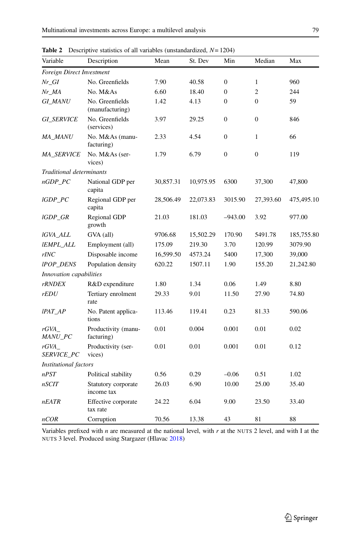| Variable                  | Description                        | Mean      | St. Dev   | Min            | Median         | Max        |
|---------------------------|------------------------------------|-----------|-----------|----------------|----------------|------------|
| Foreign Direct Investment |                                    |           |           |                |                |            |
| $Nr_GI$                   | No. Greenfields                    | 7.90      | 40.58     | $\mathbf{0}$   | $\mathbf{1}$   | 960        |
| $Nr\_MA$                  | No. M&As                           | 6.60      | 18.40     | $\mathbf{0}$   | $\overline{c}$ | 244        |
| GI_MANU                   | No. Greenfields<br>(manufacturing) | 1.42      | 4.13      | $\Omega$       | $\theta$       | 59         |
| <b>GI_SERVICE</b>         | No. Greenfields<br>(services)      | 3.97      | 29.25     | $\mathbf{0}$   | $\mathbf{0}$   | 846        |
| MA MANU                   | No. M&As (manu-<br>facturing)      | 2.33      | 4.54      | $\Omega$       | 1              | 66         |
| <i>MA_SERVICE</i>         | No. M&As (ser-<br>vices)           | 1.79      | 6.79      | $\overline{0}$ | $\overline{0}$ | 119        |
| Traditional determinants  |                                    |           |           |                |                |            |
| nGDP PC                   | National GDP per<br>capita         | 30,857.31 | 10,975.95 | 6300           | 37,300         | 47,800     |
| lGDP_PC                   | Regional GDP per<br>capita         | 28,506.49 | 22,073.83 | 3015.90        | 27,393.60      | 475,495.10 |
| lGDP GR                   | Regional GDP<br>growth             | 21.03     | 181.03    | $-943.00$      | 3.92           | 977.00     |
| lGVA_ALL                  | GVA (all)                          | 9706.68   | 15,502.29 | 170.90         | 5491.78        | 185,755.80 |
| <b>IEMPL_ALL</b>          | Employment (all)                   | 175.09    | 219.30    | 3.70           | 120.99         | 3079.90    |
| rINC                      | Disposable income                  | 16,599.50 | 4573.24   | 5400           | 17,300         | 39,000     |
| <b>IPOP DENS</b>          | Population density                 | 620.22    | 1507.11   | 1.90           | 155.20         | 21,242.80  |
| Innovation capabilities   |                                    |           |           |                |                |            |
| <b>rRNDEX</b>             | R&D expenditure                    | 1.80      | 1.34      | 0.06           | 1.49           | 8.80       |
| rEDU                      | Tertiary enrolment<br>rate         | 29.33     | 9.01      | 11.50          | 27.90          | 74.80      |
| lPAT_AP                   | No. Patent applica-<br>tions       | 113.46    | 119.41    | 0.23           | 81.33          | 590.06     |
| rGVA<br><i>MANU_PC</i>    | Productivity (manu-<br>facturing)  | 0.01      | 0.004     | 0.001          | 0.01           | 0.02       |
| rGVA<br>SERVICE_PC        | Productivity (ser-<br>vices)       | 0.01      | 0.01      | 0.001          | 0.01           | 0.12       |
| Institutional factors     |                                    |           |           |                |                |            |
| nPST                      | Political stability                | 0.56      | 0.29      | $-0.06$        | 0.51           | 1.02       |
| nSCIT                     | Statutory corporate<br>income tax  | 26.03     | 6.90      | 10.00          | 25.00          | 35.40      |
| nEATR                     | Effective corporate<br>tax rate    | 24.22     | 6.04      | 9.00           | 23.50          | 33.40      |
| nCOR                      | Corruption                         | 70.56     | 13.38     | 43             | 81             | 88         |

<span id="page-12-0"></span>**Table 2** Descriptive statistics of all variables (unstandardized, *N*= 1204)

Variables prefixed with *n* are measured at the national level, with *r* at the NUTS 2 level, and with I at the NUTS 3 level. Produced using Stargazer (Hlavac [2018\)](#page-37-22)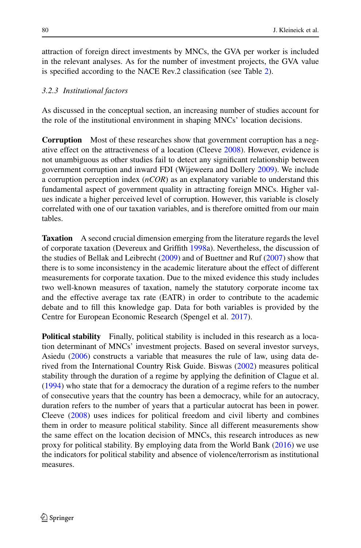attraction of foreign direct investments by MNCs, the GVA per worker is included in the relevant analyses. As for the number of investment projects, the GVA value is specified according to the NACE Rev.2 classification (see Table [2\)](#page-12-0).

# *3.2.3 Institutional factors*

As discussed in the conceptual section, an increasing number of studies account for the role of the institutional environment in shaping MNCs' location decisions.

**Corruption** Most of these researches show that government corruption has a negative effect on the attractiveness of a location (Cleeve [2008\)](#page-36-11). However, evidence is not unambiguous as other studies fail to detect any significant relationship between government corruption and inward FDI (Wijeweera and Dollery [2009\)](#page-38-21). We include a corruption perception index (*nCOR*) as an explanatory variable to understand this fundamental aspect of government quality in attracting foreign MNCs. Higher values indicate a higher perceived level of corruption. However, this variable is closely correlated with one of our taxation variables, and is therefore omitted from our main tables.

**Taxation** A second crucial dimension emerging from the literature regards the level of corporate taxation (Devereux and Griffith [1998a](#page-37-23)). Nevertheless, the discussion of the studies of Bellak and Leibrecht [\(2009\)](#page-36-9) and of Buettner and Ruf [\(2007\)](#page-36-25) show that there is to some inconsistency in the academic literature about the effect of different measurements for corporate taxation. Due to the mixed evidence this study includes two well-known measures of taxation, namely the statutory corporate income tax and the effective average tax rate (EATR) in order to contribute to the academic debate and to fill this knowledge gap. Data for both variables is provided by the Centre for European Economic Research (Spengel et al. [2017\)](#page-38-22).

**Political stability** Finally, political stability is included in this research as a location determinant of MNCs' investment projects. Based on several investor surveys, Asiedu [\(2006\)](#page-36-24) constructs a variable that measures the rule of law, using data derived from the International Country Risk Guide. Biswas [\(2002\)](#page-36-26) measures political stability through the duration of a regime by applying the definition of Clague et al. [\(1994\)](#page-36-27) who state that for a democracy the duration of a regime refers to the number of consecutive years that the country has been a democracy, while for an autocracy, duration refers to the number of years that a particular autocrat has been in power. Cleeve [\(2008\)](#page-36-11) uses indices for political freedom and civil liberty and combines them in order to measure political stability. Since all different measurements show the same effect on the location decision of MNCs, this research introduces as new proxy for political stability. By employing data from the World Bank [\(2016\)](#page-38-23) we use the indicators for political stability and absence of violence/terrorism as institutional measures.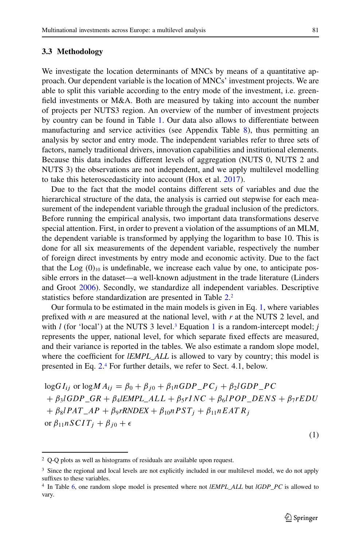#### **3.3 Methodology**

We investigate the location determinants of MNCs by means of a quantitative approach. Our dependent variable is the location of MNCs' investment projects. We are able to split this variable according to the entry mode of the investment, i.e. greenfield investments or M&A. Both are measured by taking into account the number of projects per NUTS3 region. An overview of the number of investment projects by country can be found in Table [1.](#page-9-0) Our data also allows to differentiate between manufacturing and service activities (see Appendix Table [8\)](#page-30-0), thus permitting an analysis by sector and entry mode. The independent variables refer to three sets of factors, namely traditional drivers, innovation capabilities and institutional elements. Because this data includes different levels of aggregation (NUTS 0, NUTS 2 and NUTS 3) the observations are not independent, and we apply multilevel modelling to take this heteroscedasticity into account (Hox et al. [2017\)](#page-37-24).

Due to the fact that the model contains different sets of variables and due the hierarchical structure of the data, the analysis is carried out stepwise for each measurement of the independent variable through the gradual inclusion of the predictors. Before running the empirical analysis, two important data transformations deserve special attention. First, in order to prevent a violation of the assumptions of an MLM, the dependent variable is transformed by applying the logarithm to base 10. This is done for all six measurements of the dependent variable, respectively the number of foreign direct investments by entry mode and economic activity. Due to the fact that the  $\text{Log } (0)_{10}$  is undefinable, we increase each value by one, to anticipate possible errors in the dataset—a well-known adjustment in the trade literature (Linders and Groot [2006\)](#page-38-24). Secondly, we standardize all independent variables. Descriptive statistics before standardization are presented in Table [2.](#page-12-0) [2](#page-14-0)

Our formula to be estimated in the main models is given in Eq. [1,](#page-14-1) where variables prefixed with *n* are measured at the national level, with *r* at the NUTS 2 level, and with  $l$  (for 'local') at the NUTS 3 level.<sup>3</sup> Equation [1](#page-14-1) is a random-intercept model;  $j$ represents the upper, national level, for which separate fixed effects are measured, and their variance is reported in the tables. We also estimate a random slope model, where the coefficient for *lEMPL\_ALL* is allowed to vary by country; this model is presented in Eq. [2.](#page-15-0) [4](#page-14-3) For further details, we refer to Sect. 4.1, below.

<span id="page-14-1"></span> $\log GI_{ii}$  or  $\log MA_{ii} = \beta_0 + \beta_{i0} + \beta_1 nGDP\_PC_i + \beta_2 lGDP\_PC$  $+\beta_3lGDP\_GR + \beta_4lEMPL\_ALL + \beta_5rINC + \beta_6lPOP\_DENS + \beta_7rEDU$  $\beta_8$ *PAT\_AP* +  $\beta_9$ *rRNDEX* +  $\beta_{10}$ *nPST<sub>i</sub>* +  $\beta_{11}$ *nEATR<sub>i</sub>* or  $\beta_{11}$ n SCI T<sub>j</sub> +  $\beta_{j0}$  +  $\epsilon$ 

(1)

<span id="page-14-2"></span><span id="page-14-0"></span><sup>2</sup> Q-Q plots as well as histograms of residuals are available upon request.

<span id="page-14-3"></span><sup>&</sup>lt;sup>3</sup> Since the regional and local levels are not explicitly included in our multilevel model, we do not apply suffixes to these variables.

<sup>4</sup> In Table [6,](#page-25-0) one random slope model is presented where not *lEMPL\_ALL* but *lGDP\_PC* is allowed to vary.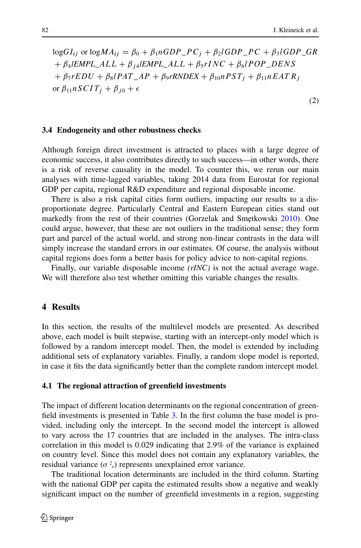(2)

<span id="page-15-0"></span>
$$
\log GI_{ij} \text{ or } \log MA_{ij} = \beta_0 + \beta_1 nGDP_P C_j + \beta_2 lGDP_P C + \beta_3 lGDP_G R
$$
  
+  $\beta_4 \text{LEMPL}\_ALL + \beta_{j4} \text{LEMPL}\_ ALL + \beta_5 rINC + \beta_6 lPOP\_ DENS$   
+  $\beta_7 rEDU + \beta_8 lPAT\_ AP + \beta_9 rRNDEX + \beta_{10} nPST_j + \beta_{11} nEATR_j$   
or  $\beta_{11} nSCIT_j + \beta_{j0} + \epsilon$ 

#### **3.4 Endogeneity and other robustness checks**

Although foreign direct investment is attracted to places with a large degree of economic success, it also contributes directly to such success—in other words, there is a risk of reverse causality in the model. To counter this, we rerun our main analyses with time-lagged variables, taking 2014 data from Eurostat for regional GDP per capita, regional R&D expenditure and regional disposable income.

There is also a risk capital cities form outliers, impacting our results to a disproportionate degree. Particularly Central and Eastern European cities stand out markedly from the rest of their countries (Gorzelak and Smetkowski [2010\)](#page-37-25). One could argue, however, that these are not outliers in the traditional sense; they form part and parcel of the actual world, and strong non-linear contrasts in the data will simply increase the standard errors in our estimates. Of course, the analysis without capital regions does form a better basis for policy advice to non-capital regions.

Finally, our variable disposable income *(rINC)* is not the actual average wage. We will therefore also test whether omitting this variable changes the results.

### **4 Results**

In this section, the results of the multilevel models are presented. As described above, each model is built stepwise, starting with an intercept-only model which is followed by a random intercept model. Then, the model is extended by including additional sets of explanatory variables. Finally, a random slope model is reported, in case it fits the data significantly better than the complete random intercept model.

#### **4.1 The regional attraction of greenfield investments**

The impact of different location determinants on the regional concentration of greenfield investments is presented in Table [3.](#page-16-0) In the first column the base model is provided, including only the intercept. In the second model the intercept is allowed to vary across the 17 countries that are included in the analyses. The intra-class correlation in this model is 0.029 indicating that 2.9% of the variance is explained on country level. Since this model does not contain any explanatory variables, the residual variance  $(\sigma^2_e)$  represents unexplained error variance.

The traditional location determinants are included in the third column. Starting with the national GDP per capita the estimated results show a negative and weakly significant impact on the number of greenfield investments in a region, suggesting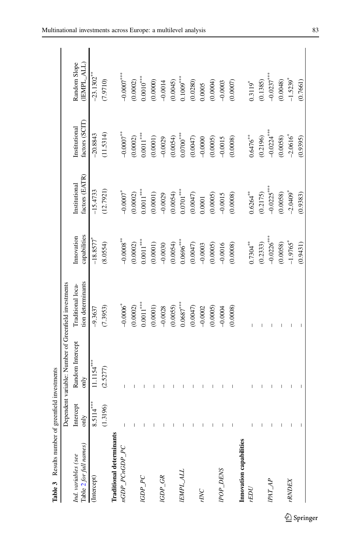<span id="page-16-0"></span>

| Table 3 Results number of greenfield investments |                |                                                      |                        |                         |                        |                        |                          |
|--------------------------------------------------|----------------|------------------------------------------------------|------------------------|-------------------------|------------------------|------------------------|--------------------------|
|                                                  |                | Dependent variable: Number of Greenfield investments |                        |                         |                        |                        |                          |
| Ind. variables (see                              | Intercept      | Random Intercept                                     | Traditional loca-      | Innovation              | Institutional          | Institutional          | Random Slope             |
| Table 2 for full names)                          | only           | only                                                 | tion determinants      | capabilities            | factors (EATR)         | factors (SCIT)         | (EMPL_ALL)               |
| (Intercept)                                      | $4**$<br>8.511 | $11.1154***$                                         | $-9.3637$              | $-18.8577$ <sup>*</sup> | $-15.4733$             | $-20.8843$             | $-23.1302$ <sup>**</sup> |
|                                                  | (96)<br>(1.31) | (2.5277)                                             | (7.3953)               | (8.0554)                | (12.7921)              | (11.5314)              | (7.9710)                 |
| <b>Traditional determinants</b>                  |                |                                                      |                        |                         |                        |                        |                          |
| nGDP_PCnGDP_PC                                   |                |                                                      | $-0.0006$ <sup>*</sup> | $-0.0008***$            | $-0.0007$ <sup>*</sup> | $-0.0007$ **           | $-0.0007***$             |
|                                                  |                |                                                      | $(0.0002)$             | (0.0002)                | (0.0002)               | (0.0002)               | (0.0002)                 |
| $IGDP\_PC$                                       |                |                                                      | $0.0011***$            | $0.0011***$             | $0.0011***$            | $0.0011***$            | $0.0010***$              |
|                                                  |                |                                                      | (0.0001)               | (0.0001)                | (0.0001)               | (0.0001)               | (0.0000)                 |
| $IGDP_CGR$                                       |                |                                                      | $-0.0028$              | $-0.0030$               | $-0.0029$              | $-0.0029$              | $-0.0014$                |
|                                                  |                |                                                      | (0.0055)               | (0.0054)                | (0.0054)               | (0.0054)               | (0.0045)                 |
| <b>EMPL_ALL</b>                                  |                |                                                      | $0.0687***$            | $0.0696***$             | $0.0701***$            | $0.0700***$            | $0.1009***$              |
|                                                  |                |                                                      | (0.0047)               | (0.0047)                | (0.0047)               | (0.0047)               | (0.0280)                 |
| rINC                                             |                |                                                      | $-0.0002$              | $-0.0003$               | 0.0001                 | $-0.0000$              | 0.0005                   |
|                                                  |                |                                                      | (0.0005)               | (0.0005)                | (0.0005)               | (0.0005)               | (0.0004)                 |
| <b>POP_DENS</b>                                  |                |                                                      | $-0.0004$              | $-0.0016$               | $-0.0015$              | $-0.0015$              | $-0.0003$                |
|                                                  |                |                                                      | (0.0008)               | (0.0008)                | (0.0008)               | (0.0008)               | (0.0007)                 |
| Innovation capabilities                          |                |                                                      |                        |                         |                        |                        |                          |
| rEDU                                             |                |                                                      |                        | $0.7304***$             | $0.6264***$            | $0.6476**$             | $0.3119^{*}$             |
|                                                  |                |                                                      |                        | (0.2333)                | (0.2175)               | (0.2196)               | (0.1385)                 |
| $lPAT_{\_}AP$                                    |                |                                                      |                        | $-0.0226***$            | $-0.0225***$           | $-0.0224$ ***          | $-0.0237***$             |
|                                                  |                |                                                      |                        | (0.0058)                | (0.0058)               | (0.0058)               | (0.0048)                 |
| rRNDEX                                           |                |                                                      | ı                      | $-1.9765$ <sup>*</sup>  | $-2.0409$ <sup>*</sup> | $-2.0616$ <sup>*</sup> | $-1.5239$ <sup>*</sup>   |
|                                                  |                |                                                      |                        | (0.9431)                | (0.9383)               | (0.9395)               | (0.7661)                 |
|                                                  |                |                                                      |                        |                         |                        |                        |                          |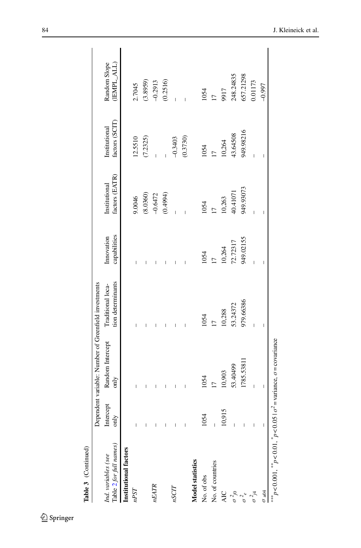| Table 3 (Continued)                                 |                   |                                                      |                                        |                            |                                 |                                 |                            |
|-----------------------------------------------------|-------------------|------------------------------------------------------|----------------------------------------|----------------------------|---------------------------------|---------------------------------|----------------------------|
|                                                     |                   | Dependent variable: Number of Greenfield investments |                                        |                            |                                 |                                 |                            |
| Table 2 for full names)<br>Ind. variables (see      | Intercept<br>only | Random Intercept<br>only                             | tion determinants<br>Traditional loca- | capabilities<br>Innovation | factors (EATR)<br>Institutional | factors (SCIT)<br>Institutional | (EMPL_ALL)<br>Random Slope |
| <b>Institutional factors</b>                        |                   |                                                      |                                        |                            |                                 |                                 |                            |
| nPST                                                |                   |                                                      |                                        |                            | 9.0046                          | 12.5510                         | 2.7045                     |
|                                                     |                   |                                                      |                                        |                            | (8.0360)                        | (7.2325)                        | (3.8959)                   |
| nEATR                                               |                   |                                                      |                                        |                            | $-0.6472$                       |                                 | $-0.2913$                  |
|                                                     |                   |                                                      |                                        |                            | (4994)                          |                                 | (0.2516)                   |
| nSCT                                                |                   |                                                      |                                        |                            |                                 | $-0.3403$                       |                            |
|                                                     |                   |                                                      |                                        |                            |                                 | (0.3730)                        |                            |
| <b>Model statistics</b>                             |                   |                                                      |                                        |                            |                                 |                                 |                            |
| No. of obs                                          | 1054              | 1054                                                 | 1054                                   | 1054                       | 1054                            | 1054                            |                            |
| No. of countries                                    |                   |                                                      | $\overline{17}$                        | $\overline{17}$            |                                 | $\overline{1}$                  | $1054$<br>17               |
|                                                     | 10,915            | 10,903                                               | 10,288                                 | 10,264                     | 10,263                          | 10,264                          | 9917                       |
| ≳                                                   |                   | 53.40499                                             | 53.24372                               | 72.72317                   | 40.41071                        | 43.64508                        | 248.24835                  |
|                                                     |                   | [785.5381]                                           | 979.66386                              | 949.02155                  | 949.93073                       | 949.98216                       | 657.21298                  |
| σ" μ                                                |                   | Ï                                                    |                                        |                            |                                 |                                 | 0.01173                    |
| $\sigma$ uO4                                        |                   | Ï                                                    |                                        |                            |                                 |                                 | $-0.997$                   |
| $p < 0.001$ , ${}^{**}p < 0.01$ , ${}^{*}p < 0.051$ |                   | $\sigma^2$ = variance, $\sigma$ = covariance         |                                        |                            |                                 |                                 |                            |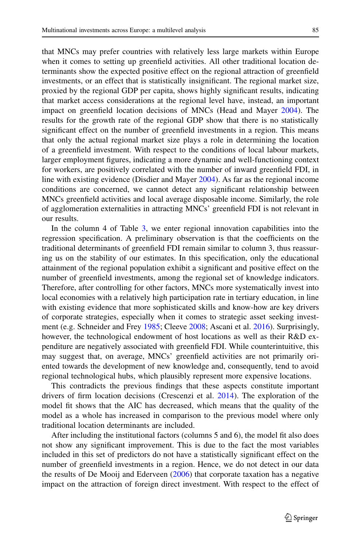that MNCs may prefer countries with relatively less large markets within Europe when it comes to setting up greenfield activities. All other traditional location determinants show the expected positive effect on the regional attraction of greenfield investments, or an effect that is statistically insignificant. The regional market size, proxied by the regional GDP per capita, shows highly significant results, indicating that market access considerations at the regional level have, instead, an important impact on greenfield location decisions of MNCs (Head and Mayer [2004\)](#page-37-3). The results for the growth rate of the regional GDP show that there is no statistically significant effect on the number of greenfield investments in a region. This means that only the actual regional market size plays a role in determining the location of a greenfield investment. With respect to the conditions of local labour markets, larger employment figures, indicating a more dynamic and well-functioning context for workers, are positively correlated with the number of inward greenfield FDI, in line with existing evidence (Disdier and Mayer [2004\)](#page-37-15). As far as the regional income conditions are concerned, we cannot detect any significant relationship between MNCs greenfield activities and local average disposable income. Similarly, the role of agglomeration externalities in attracting MNCs' greenfield FDI is not relevant in our results.

In the column 4 of Table [3,](#page-16-0) we enter regional innovation capabilities into the regression specification. A preliminary observation is that the coefficients on the traditional determinants of greenfield FDI remain similar to column 3, thus reassuring us on the stability of our estimates. In this specification, only the educational attainment of the regional population exhibit a significant and positive effect on the number of greenfield investments, among the regional set of knowledge indicators. Therefore, after controlling for other factors, MNCs more systematically invest into local economies with a relatively high participation rate in tertiary education, in line with existing evidence that more sophisticated skills and know-how are key drivers of corporate strategies, especially when it comes to strategic asset seeking invest-ment (e.g. Schneider and Frey [1985;](#page-38-16) Cleeve [2008;](#page-36-11) Ascani et al. [2016\)](#page-36-5). Surprisingly, however, the technological endowment of host locations as well as their R&D expenditure are negatively associated with greenfield FDI. While counterintuitive, this may suggest that, on average, MNCs' greenfield activities are not primarily oriented towards the development of new knowledge and, consequently, tend to avoid regional technological hubs, which plausibly represent more expensive locations.

This contradicts the previous findings that these aspects constitute important drivers of firm location decisions (Crescenzi et al. [2014\)](#page-36-4). The exploration of the model fit shows that the AIC has decreased, which means that the quality of the model as a whole has increased in comparison to the previous model where only traditional location determinants are included.

After including the institutional factors (columns 5 and 6), the model fit also does not show any significant improvement. This is due to the fact the most variables included in this set of predictors do not have a statistically significant effect on the number of greenfield investments in a region. Hence, we do not detect in our data the results of De Mooij and Ederveen [\(2006\)](#page-37-26) that corporate taxation has a negative impact on the attraction of foreign direct investment. With respect to the effect of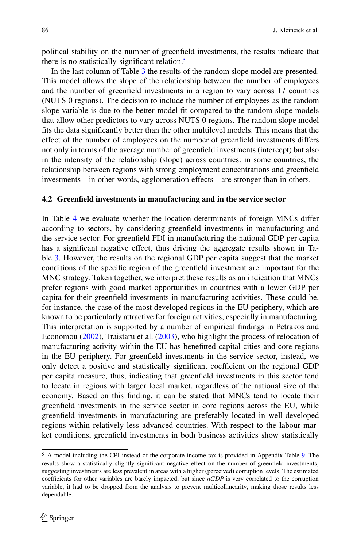political stability on the number of greenfield investments, the results indicate that there is no statistically significant relation.<sup>5</sup>

In the last column of Table [3](#page-16-0) the results of the random slope model are presented. This model allows the slope of the relationship between the number of employees and the number of greenfield investments in a region to vary across 17 countries (NUTS 0 regions). The decision to include the number of employees as the random slope variable is due to the better model fit compared to the random slope models that allow other predictors to vary across NUTS 0 regions. The random slope model fits the data significantly better than the other multilevel models. This means that the effect of the number of employees on the number of greenfield investments differs not only in terms of the average number of greenfield investments (intercept) but also in the intensity of the relationship (slope) across countries: in some countries, the relationship between regions with strong employment concentrations and greenfield investments—in other words, agglomeration effects—are stronger than in others.

#### **4.2 Greenfield investments in manufacturing and in the service sector**

In Table [4](#page-20-0) we evaluate whether the location determinants of foreign MNCs differ according to sectors, by considering greenfield investments in manufacturing and the service sector. For greenfield FDI in manufacturing the national GDP per capita has a significant negative effect, thus driving the aggregate results shown in Table [3.](#page-16-0) However, the results on the regional GDP per capita suggest that the market conditions of the specific region of the greenfield investment are important for the MNC strategy. Taken together, we interpret these results as an indication that MNCs prefer regions with good market opportunities in countries with a lower GDP per capita for their greenfield investments in manufacturing activities. These could be, for instance, the case of the most developed regions in the EU periphery, which are known to be particularly attractive for foreign activities, especially in manufacturing. This interpretation is supported by a number of empirical findings in Petrakos and Economou [\(2002\)](#page-38-25), Traistaru et al. [\(2003\)](#page-38-26), who highlight the process of relocation of manufacturing activity within the EU has benefitted capital cities and core regions in the EU periphery. For greenfield investments in the service sector, instead, we only detect a positive and statistically significant coefficient on the regional GDP per capita measure, thus, indicating that greenfield investments in this sector tend to locate in regions with larger local market, regardless of the national size of the economy. Based on this finding, it can be stated that MNCs tend to locate their greenfield investments in the service sector in core regions across the EU, while greenfield investments in manufacturing are preferably located in well-developed regions within relatively less advanced countries. With respect to the labour market conditions, greenfield investments in both business activities show statistically

<span id="page-19-0"></span><sup>5</sup> A model including the CPI instead of the corporate income tax is provided in Appendix Table [9.](#page-31-0) The results show a statistically slightly significant negative effect on the number of greenfield investments, suggesting investments are less prevalent in areas with a higher (perceived) corruption levels. The estimated coefficients for other variables are barely impacted, but since *nGDP* is very correlated to the corruption variable, it had to be dropped from the analysis to prevent multicollinearity, making those results less dependable.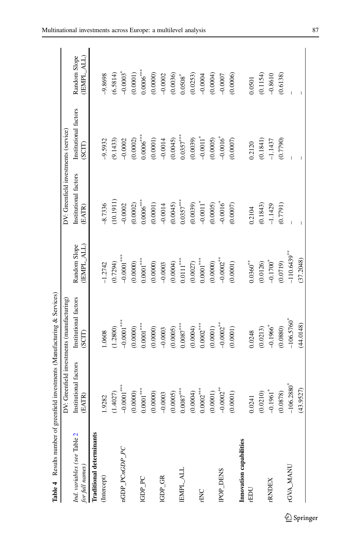<span id="page-20-0"></span>

| Table 4 Results number of greenfield investments (Manufacturing & Services) |                                            |                                 |                            |                                      |                                 |                             |
|-----------------------------------------------------------------------------|--------------------------------------------|---------------------------------|----------------------------|--------------------------------------|---------------------------------|-----------------------------|
|                                                                             | DV: Greenfield investments (manufacturing) |                                 |                            | DV: Greenfield investments (service) |                                 |                             |
| Ind. variables (see Table 2<br>for full names)                              | Institutional factors<br>(EATR)            | Institutional factors<br>(SCIT) | (EMPL_ALL)<br>Random Slope | Institutional factors<br>(EATR)      | Institutional factors<br>(SCIT) | Random Slope<br>(IEMPL_ALL) |
| <b>Traditional determinants</b>                                             |                                            |                                 |                            |                                      |                                 |                             |
| (Intercept)                                                                 | 1.9282                                     | 1.0608                          | $-1.2742$                  | -8.7336                              | $-9.5932$                       | -9.8698                     |
|                                                                             | (1.4027)                                   | (1.2800)                        | (0.7294)                   | (10.1911)                            | (9.1433)                        | (6.5814)                    |
| nGDP_PCnGDP_PC                                                              | $-0.0001***$                               | $-0.0001***$                    | $-0.0001***$               | $-0.0002$                            | $-0.0002$                       | $-0.0003$                   |
|                                                                             | (0.0000)                                   | (0.0000)                        | (0.0000)                   | (0.0002)                             | (0.0002)                        | (0.0001)                    |
| <b>IGDP_PC</b>                                                              | $0.0001***$                                | $0.0001***$                     | $0.0001***$                | $0.0006***$                          | $0.0006***$                     | $0.0006***$                 |
|                                                                             | (0.0000)                                   | (0.0000)                        | (0.0000)                   | (0.0001)                             | (0.0001)                        | (0.0000)                    |
| IGDP_GR                                                                     | $-0.0003$                                  | $-0.0003$                       | $-0.0003$                  | $-0.0014$                            | $-0.0014$                       | $-0.0002$                   |
|                                                                             | (0.0005)                                   | (0.0005)                        | (0.0004)                   | (0.0045)                             | (0.0045)                        | (0.0036)                    |
| IEMPL_ALL                                                                   | $0.0087***$                                | $0.0087***$                     | $0.0111^{\ast\ast\ast}$    | $0.0357***$                          | $0.0357***$                     | $0.0508$ <sup>*</sup>       |
|                                                                             | (0.0004)                                   | (0.0004)                        | (0.0027)                   | (0.0039)                             | (0.0039)                        | (0.0253)                    |
| rNC                                                                         | $0.0002***$                                | $0.0002***$                     | $0.0001***$                | $-0.0011$ <sup>*</sup>               | $-0.0011$ <sup>*</sup>          | $-0.0004$                   |
|                                                                             | (0.0001)                                   | (0.0001)                        | (0.0000)                   | (0.0005)                             | (0.0005)                        | (0.0004)                    |
| <b>IPOP_DENS</b>                                                            | $-0.0002***$                               | $-0.0002***$                    | $-0.0002$ **               | $-0.0016$                            | $-0.0016$                       | $-0.0007$                   |
|                                                                             | (0.0001)                                   | (0.0001)                        | (0.0001)                   | (0.0007)                             | (0.0007)                        | (0.0006)                    |
| Innovation capabilities                                                     |                                            |                                 |                            |                                      |                                 |                             |
| rEDU                                                                        | 0.0241                                     | 0.0248                          | $0.0360^{\ast\ast}$        | 0.2104                               | 0.2120                          | 1.0501                      |
|                                                                             | (0.0210)                                   | (0.0213)                        | (0.0126)                   | (0.1843)                             | (0.1841)                        | (0.1154)                    |
| <b>rNDEX</b>                                                                | $-0.1961$ <sup>*</sup>                     | $-0.1966$ <sup>*</sup>          | $-0.1700$ <sup>*</sup>     | $-1.1429$                            | $-1.1437$                       | $-0.8610$                   |
|                                                                             | (0.0878)                                   | (0.0880)                        | (0.0719)                   | (0.7791)                             | (0.7790)                        | (0.6138)                    |
| <b>TGVA_MANU</b>                                                            | $-106.2880$ <sup>*</sup>                   | $-106.5760$ <sup>*</sup>        | $-110.6439**$              |                                      |                                 |                             |
|                                                                             | (43.9527)                                  | (44.0148)                       | (37.2048)                  |                                      |                                 |                             |
|                                                                             |                                            |                                 |                            |                                      |                                 |                             |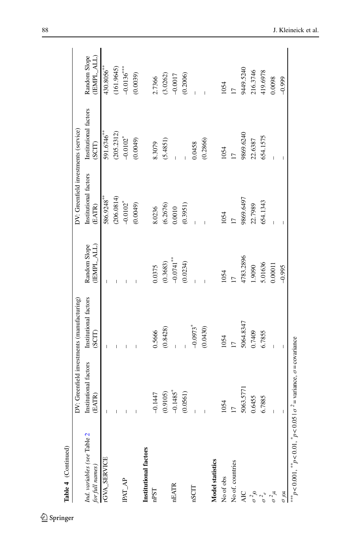| Table 4 (Continued)                                                                                                                   |                                                                                                                                                                                                                                                                                                                                                                                                                |                                 |                            |                                      |                                 |                             |
|---------------------------------------------------------------------------------------------------------------------------------------|----------------------------------------------------------------------------------------------------------------------------------------------------------------------------------------------------------------------------------------------------------------------------------------------------------------------------------------------------------------------------------------------------------------|---------------------------------|----------------------------|--------------------------------------|---------------------------------|-----------------------------|
|                                                                                                                                       | DV: Greenfield investments (manufacturing)                                                                                                                                                                                                                                                                                                                                                                     |                                 |                            | DV: Greenfield investments (service) |                                 |                             |
| Ind. variables (see Table 2<br>for full names)                                                                                        | Institutional factors<br>(EATR)                                                                                                                                                                                                                                                                                                                                                                                | Institutional factors<br>(SCIT) | Random Slope<br>(EMPL_ALL) | Institutional factors<br>(EATR)      | Institutional factors<br>(SCIT) | Random Slope<br>(IEMPL_ALL) |
| <b>rGVA_SERVICE</b>                                                                                                                   | $\begin{array}{c} \end{array}$                                                                                                                                                                                                                                                                                                                                                                                 |                                 |                            | 586.9248**                           | 591.6746**                      | 430.8056**                  |
|                                                                                                                                       | $\begin{array}{c} \rule{0pt}{2.5ex} \rule{0pt}{2.5ex} \rule{0pt}{2.5ex} \rule{0pt}{2.5ex} \rule{0pt}{2.5ex} \rule{0pt}{2.5ex} \rule{0pt}{2.5ex} \rule{0pt}{2.5ex} \rule{0pt}{2.5ex} \rule{0pt}{2.5ex} \rule{0pt}{2.5ex} \rule{0pt}{2.5ex} \rule{0pt}{2.5ex} \rule{0pt}{2.5ex} \rule{0pt}{2.5ex} \rule{0pt}{2.5ex} \rule{0pt}{2.5ex} \rule{0pt}{2.5ex} \rule{0pt}{2.5ex} \rule{0$                               |                                 |                            | (206.0814)                           | (205.2312)                      | (161.9645)                  |
| <b>IPAT_AP</b>                                                                                                                        | I                                                                                                                                                                                                                                                                                                                                                                                                              |                                 |                            | $-0.0102$ <sup>*</sup>               | $-0.0102$ <sup>*</sup>          | $-0.0136***$                |
|                                                                                                                                       | $\begin{array}{c} \rule{0pt}{2.5ex} \rule{0pt}{2.5ex} \rule{0pt}{2.5ex} \rule{0pt}{2.5ex} \rule{0pt}{2.5ex} \rule{0pt}{2.5ex} \rule{0pt}{2.5ex} \rule{0pt}{2.5ex} \rule{0pt}{2.5ex} \rule{0pt}{2.5ex} \rule{0pt}{2.5ex} \rule{0pt}{2.5ex} \rule{0pt}{2.5ex} \rule{0pt}{2.5ex} \rule{0pt}{2.5ex} \rule{0pt}{2.5ex} \rule{0pt}{2.5ex} \rule{0pt}{2.5ex} \rule{0pt}{2.5ex} \rule{0$                               |                                 |                            | (0.0049)                             | (0.0049)                        | (0.0039)                    |
| <b>Institutional factors</b>                                                                                                          |                                                                                                                                                                                                                                                                                                                                                                                                                |                                 |                            |                                      |                                 |                             |
| nPST                                                                                                                                  | $-0.1447$                                                                                                                                                                                                                                                                                                                                                                                                      | 0.5666                          | 0.0375                     | 8.0236                               | 8.3079                          | 2.7366                      |
|                                                                                                                                       | (0.9105)                                                                                                                                                                                                                                                                                                                                                                                                       | (0.8428)                        | (0.3683)                   | (6.2676)                             | (5.4851)                        | (3.0262)                    |
| nEATR                                                                                                                                 | $-0.1485$ <sup>*</sup>                                                                                                                                                                                                                                                                                                                                                                                         |                                 | $-0.0741***$               | 0.0010                               |                                 | $-0.0017$                   |
|                                                                                                                                       | (0.0561)                                                                                                                                                                                                                                                                                                                                                                                                       |                                 | (0.0234)                   | (0.3951)                             |                                 | (0.2006)                    |
| nSCIT                                                                                                                                 | $\mathsf I$                                                                                                                                                                                                                                                                                                                                                                                                    | $-0.0973$ *                     |                            |                                      | 0.0458                          |                             |
|                                                                                                                                       | $\begin{array}{c} \rule{0pt}{2.5ex} \rule{0pt}{2.5ex} \rule{0pt}{2.5ex} \rule{0pt}{2.5ex} \rule{0pt}{2.5ex} \rule{0pt}{2.5ex} \rule{0pt}{2.5ex} \rule{0pt}{2.5ex} \rule{0pt}{2.5ex} \rule{0pt}{2.5ex} \rule{0pt}{2.5ex} \rule{0pt}{2.5ex} \rule{0pt}{2.5ex} \rule{0pt}{2.5ex} \rule{0pt}{2.5ex} \rule{0pt}{2.5ex} \rule{0pt}{2.5ex} \rule{0pt}{2.5ex} \rule{0pt}{2.5ex} \rule{0$                               | (0.0430)                        |                            |                                      | (0.2866)                        |                             |
| Model statistics                                                                                                                      |                                                                                                                                                                                                                                                                                                                                                                                                                |                                 |                            |                                      |                                 |                             |
| No of obs                                                                                                                             | 1054                                                                                                                                                                                                                                                                                                                                                                                                           | 1054                            | 1054                       | 1054                                 | 1054                            | 1054                        |
| No of. countries                                                                                                                      | $\overline{17}$                                                                                                                                                                                                                                                                                                                                                                                                | $\overline{17}$                 | $\overline{17}$            | $\overline{1}$                       | $\overline{17}$                 |                             |
| <b>AIC</b>                                                                                                                            | 5063.5771                                                                                                                                                                                                                                                                                                                                                                                                      | 5064.8347                       | 4783.2896                  | 9869.6497                            | 9869.6240                       | 9449.5240                   |
| $\sigma^2_{\mu}$                                                                                                                      | 0.6455                                                                                                                                                                                                                                                                                                                                                                                                         | 0.7409                          | 1.9090                     | 22.7989                              | 22.6387                         | 216.3746                    |
| $\sigma^2$ .                                                                                                                          | 6.7885                                                                                                                                                                                                                                                                                                                                                                                                         | 6.7855                          | 5.01636                    | 654.1343                             | 654.1575                        | 419.6978                    |
| $\sigma^2$ j4                                                                                                                         | $\overline{1}$                                                                                                                                                                                                                                                                                                                                                                                                 |                                 | 0.00011                    |                                      |                                 | 0.0098                      |
| $\sigma$ j04                                                                                                                          | $\begin{array}{c} \rule{0pt}{2ex} \rule{0pt}{2ex} \rule{0pt}{2ex} \rule{0pt}{2ex} \rule{0pt}{2ex} \rule{0pt}{2ex} \rule{0pt}{2ex} \rule{0pt}{2ex} \rule{0pt}{2ex} \rule{0pt}{2ex} \rule{0pt}{2ex} \rule{0pt}{2ex} \rule{0pt}{2ex} \rule{0pt}{2ex} \rule{0pt}{2ex} \rule{0pt}{2ex} \rule{0pt}{2ex} \rule{0pt}{2ex} \rule{0pt}{2ex} \rule{0pt}{2ex} \rule{0pt}{2ex} \rule{0pt}{2ex} \rule{0pt}{2ex} \rule{0pt}{$ |                                 | $-0.995$                   |                                      | I                               | $-0.999$                    |
| $p < 0.001$ , $\stackrel{**}{p} < 0.01$ , $\stackrel{*}{p} < 0.05 + \sigma^2 = \text{variance}$ , $\sigma = \text{covariance}$<br>*** |                                                                                                                                                                                                                                                                                                                                                                                                                |                                 |                            |                                      |                                 |                             |

 $\underline{\mathcal{D}}$  Springer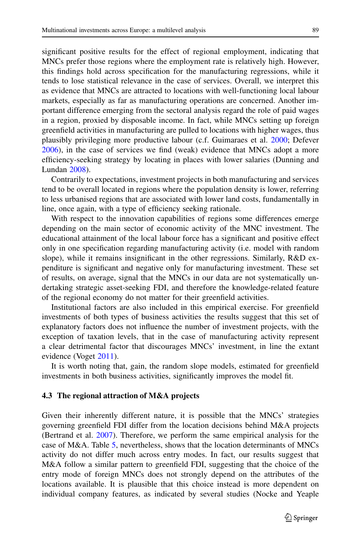significant positive results for the effect of regional employment, indicating that MNCs prefer those regions where the employment rate is relatively high. However, this findings hold across specification for the manufacturing regressions, while it tends to lose statistical relevance in the case of services. Overall, we interpret this as evidence that MNCs are attracted to locations with well-functioning local labour markets, especially as far as manufacturing operations are concerned. Another important difference emerging from the sectoral analysis regard the role of paid wages in a region, proxied by disposable income. In fact, while MNCs setting up foreign greenfield activities in manufacturing are pulled to locations with higher wages, thus plausibly privileging more productive labour (c.f. Guimaraes et al. [2000;](#page-37-8) Defever [2006\)](#page-36-22), in the case of services we find (weak) evidence that MNCs adopt a more efficiency-seeking strategy by locating in places with lower salaries (Dunning and Lundan [2008\)](#page-37-27).

Contrarily to expectations, investment projects in both manufacturing and services tend to be overall located in regions where the population density is lower, referring to less urbanised regions that are associated with lower land costs, fundamentally in line, once again, with a type of efficiency seeking rationale.

With respect to the innovation capabilities of regions some differences emerge depending on the main sector of economic activity of the MNC investment. The educational attainment of the local labour force has a significant and positive effect only in one specification regarding manufacturing activity (i.e. model with random slope), while it remains insignificant in the other regressions. Similarly, R&D expenditure is significant and negative only for manufacturing investment. These set of results, on average, signal that the MNCs in our data are not systematically undertaking strategic asset-seeking FDI, and therefore the knowledge-related feature of the regional economy do not matter for their greenfield activities.

Institutional factors are also included in this empirical exercise. For greenfield investments of both types of business activities the results suggest that this set of explanatory factors does not influence the number of investment projects, with the exception of taxation levels, that in the case of manufacturing activity represent a clear detrimental factor that discourages MNCs' investment, in line the extant evidence (Voget [2011\)](#page-38-27).

It is worth noting that, gain, the random slope models, estimated for greenfield investments in both business activities, significantly improves the model fit.

#### **4.3 The regional attraction of M&A projects**

Given their inherently different nature, it is possible that the MNCs' strategies governing greenfield FDI differ from the location decisions behind M&A projects (Bertrand et al. [2007\)](#page-36-15). Therefore, we perform the same empirical analysis for the case of M&A. Table [5,](#page-23-0) nevertheless, shows that the location determinants of MNCs activity do not differ much across entry modes. In fact, our results suggest that M&A follow a similar pattern to greenfield FDI, suggesting that the choice of the entry mode of foreign MNCs does not strongly depend on the attributes of the locations available. It is plausible that this choice instead is more dependent on individual company features, as indicated by several studies (Nocke and Yeaple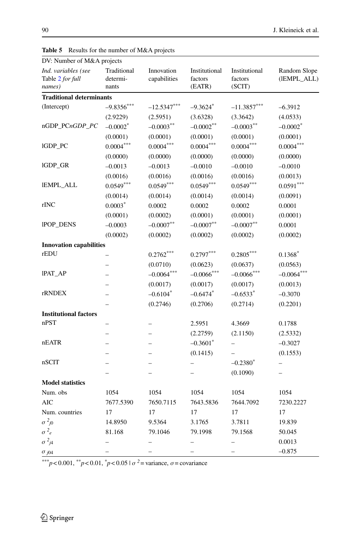| DV: Number of M&A projects                        |                                  |                            |                                    |                                    |                             |
|---------------------------------------------------|----------------------------------|----------------------------|------------------------------------|------------------------------------|-----------------------------|
| Ind. variables (see<br>Table 2 for full<br>names) | Traditional<br>determi-<br>nants | Innovation<br>capabilities | Institutional<br>factors<br>(EATR) | Institutional<br>factors<br>(SCIT) | Random Slope<br>(IEMPL_ALL) |
| <b>Traditional determinants</b>                   |                                  |                            |                                    |                                    |                             |
| (Intercept)                                       | $-9.8356***$                     | $-12.5347***$              | $-9.3624$ <sup>*</sup>             | $-11.3857***$                      | $-6.3912$                   |
|                                                   | (2.9229)                         | (2.5951)                   | (3.6328)                           | (3.3642)                           | (4.0533)                    |
| nGDP PCnGDP PC                                    | $-0.0002$ *                      | $-0.0003***$               | $-0.0002**$                        | $-0.0003***$                       | $-0.0002$ *                 |
|                                                   | (0.0001)                         | (0.0001)                   | (0.0001)                           | (0.0001)                           | (0.0001)                    |
| IGDP_PC                                           | $0.0004***$                      | $0.0004***$                | $0.0004***$                        | $0.0004***$                        | $0.0004***$                 |
|                                                   | (0.0000)                         | (0.0000)                   | (0.0000)                           | (0.0000)                           | (0.0000)                    |
| $lGDP_GR$                                         | $-0.0013$                        | $-0.0013$                  | $-0.0010$                          | $-0.0010$                          | $-0.0010$                   |
|                                                   | (0.0016)                         | (0.0016)                   | (0.0016)                           | (0.0016)                           | (0.0013)                    |
| IEMPL_ALL                                         | $0.0549***$                      | $0.0549***$                | $0.0549***$                        | $0.0549***$                        | $0.0591***$                 |
|                                                   | (0.0014)                         | (0.0014)                   | (0.0014)                           | (0.0014)                           | (0.0091)                    |
| rINC                                              | $0.0003*$                        | 0.0002                     | 0.0002                             | 0.0002                             | 0.0001                      |
|                                                   | (0.0001)                         | (0.0002)                   | (0.0001)                           | (0.0001)                           | (0.0001)                    |
| <b>IPOP_DENS</b>                                  | $-0.0003$                        | $-0.0007**$                | $-0.0007***$                       | $-0.0007**$                        | 0.0001                      |
|                                                   | (0.0002)                         | (0.0002)                   | (0.0002)                           | (0.0002)                           | (0.0002)                    |
| <b>Innovation capabilities</b>                    |                                  |                            |                                    |                                    |                             |
| rEDU                                              |                                  | $0.2762***$                | $0.2797***$                        | $0.2805***$                        | $0.1368*$                   |
|                                                   |                                  | (0.0710)                   | (0.0623)                           | (0.0637)                           | (0.0563)                    |
| IPAT_AP                                           |                                  | $-0.0064***$               | $-0.0066$ ***                      | $-0.0066$ ***                      | $-0.0064***$                |
|                                                   |                                  | (0.0017)                   | (0.0017)                           | (0.0017)                           | (0.0013)                    |
| rRNDEX                                            |                                  | $-0.6104*$                 | $-0.6474$ *                        | $-0.6533*$                         | $-0.3070$                   |
|                                                   | $\overline{\phantom{0}}$         | (0.2746)                   | (0.2706)                           | (0.2714)                           | (0.2201)                    |
| <b>Institutional factors</b>                      |                                  |                            |                                    |                                    |                             |
| nPST                                              |                                  | $\overline{\phantom{0}}$   | 2.5951                             | 4.3669                             | 0.1788                      |
|                                                   |                                  |                            | (2.2759)                           | (2.1150)                           | (2.5332)                    |
| nEATR                                             |                                  |                            | $-0.3601$ *                        |                                    | $-0.3027$                   |
|                                                   |                                  |                            | (0.1415)                           |                                    | (0.1553)                    |
| nSCIT                                             |                                  |                            |                                    | $-0.2380*$                         | —                           |
|                                                   |                                  |                            |                                    | (0.1090)                           |                             |
| <b>Model statistics</b>                           |                                  |                            |                                    |                                    |                             |
| Num. obs                                          | 1054                             | 1054                       | 1054                               | 1054                               | 1054                        |
| <b>AIC</b>                                        | 7677.5390                        | 7650.7115                  | 7643.5836                          | 7644.7092                          | 7230.2227                   |
| Num. countries                                    | 17                               | 17                         | 17                                 | 17                                 | 17                          |
| $\sigma^2_{j0}$                                   | 14.8950                          | 9.5364                     | 3.1765                             | 3.7811                             | 19.839                      |
| $\sigma^2_e$                                      | 81.168                           | 79.1046                    | 79.1998                            | 79.1568                            | 50.045                      |
| $\sigma^2$ j4                                     |                                  |                            |                                    |                                    | 0.0013                      |
| $\sigma$ j04                                      |                                  |                            |                                    |                                    | $-0.875$                    |

<span id="page-23-0"></span>

|  |  |  |  |  | <b>Table 5</b> Results for the number of M&A projects |
|--|--|--|--|--|-------------------------------------------------------|
|--|--|--|--|--|-------------------------------------------------------|

\*\*\**p*<0.001,  ${}^{*}p$  <0.01,  ${}^{*}p$  <0.05 |  $\sigma$ <sup>2</sup> = variance,  $\sigma$  = covariance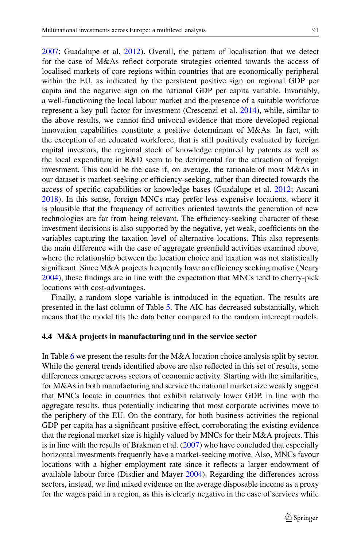[2007;](#page-38-3) Guadalupe et al. [2012\)](#page-37-2). Overall, the pattern of localisation that we detect for the case of M&As reflect corporate strategies oriented towards the access of localised markets of core regions within countries that are economically peripheral within the EU, as indicated by the persistent positive sign on regional GDP per capita and the negative sign on the national GDP per capita variable. Invariably, a well-functioning the local labour market and the presence of a suitable workforce represent a key pull factor for investment (Crescenzi et al. [2014\)](#page-36-4), while, similar to the above results, we cannot find univocal evidence that more developed regional innovation capabilities constitute a positive determinant of M&As. In fact, with the exception of an educated workforce, that is still positively evaluated by foreign capital investors, the regional stock of knowledge captured by patents as well as the local expenditure in R&D seem to be detrimental for the attraction of foreign investment. This could be the case if, on average, the rationale of most M&As in our dataset is market-seeking or efficiency-seeking, rather than directed towards the access of specific capabilities or knowledge bases (Guadalupe et al. [2012;](#page-37-2) Ascani [2018\)](#page-36-0). In this sense, foreign MNCs may prefer less expensive locations, where it is plausible that the frequency of activities oriented towards the generation of new technologies are far from being relevant. The efficiency-seeking character of these investment decisions is also supported by the negative, yet weak, coefficients on the variables capturing the taxation level of alternative locations. This also represents the main difference with the case of aggregate greenfield activities examined above, where the relationship between the location choice and taxation was not statistically significant. Since M&A projects frequently have an efficiency seeking motive (Neary [2004\)](#page-38-28), these findings are in line with the expectation that MNCs tend to cherry-pick locations with cost-advantages.

Finally, a random slope variable is introduced in the equation. The results are presented in the last column of Table [5.](#page-23-0) The AIC has decreased substantially, which means that the model fits the data better compared to the random intercept models.

#### **4.4 M&A projects in manufacturing and in the service sector**

In Table [6](#page-25-0) we present the results for the M&A location choice analysis split by sector. While the general trends identified above are also reflected in this set of results, some differences emerge across sectors of economic activity. Starting with the similarities, for M&As in both manufacturing and service the national market size weakly suggest that MNCs locate in countries that exhibit relatively lower GDP, in line with the aggregate results, thus potentially indicating that most corporate activities move to the periphery of the EU. On the contrary, for both business activities the regional GDP per capita has a significant positive effect, corroborating the existing evidence that the regional market size is highly valued by MNCs for their M&A projects. This is in line with the results of Brakman et al.  $(2007)$  who have concluded that especially horizontal investments frequently have a market-seeking motive. Also, MNCs favour locations with a higher employment rate since it reflects a larger endowment of available labour force (Disdier and Mayer [2004\)](#page-37-15). Regarding the differences across sectors, instead, we find mixed evidence on the average disposable income as a proxy for the wages paid in a region, as this is clearly negative in the case of services while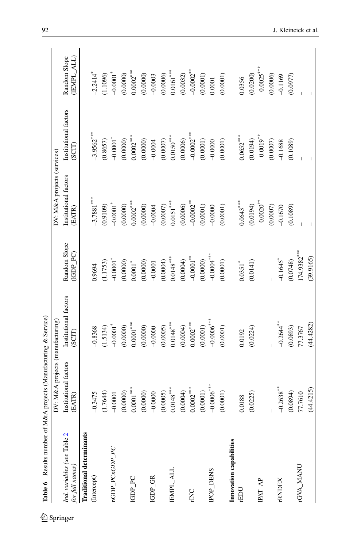<span id="page-25-0"></span>

| Results number of M&A<br>Table 6               | projects (Manufacturing & Service) |                                 |                             |                                 |                                 |                             |
|------------------------------------------------|------------------------------------|---------------------------------|-----------------------------|---------------------------------|---------------------------------|-----------------------------|
|                                                | DV: M&A projects (manufacturing)   |                                 |                             | DV: M&A projects (services)     |                                 |                             |
| Ind. variables (see Table 2<br>for full names) | Institutional factors<br>(EATR)    | Institutional factors<br>(SCIT) | Random Slope<br>$(1GDP_PC)$ | Institutional factors<br>(EATR) | Institutional factors<br>(SCIT) | Random Slope<br>(IEMPL_ALL) |
| <b>Traditional determinants</b>                |                                    |                                 |                             |                                 |                                 |                             |
| (Intercept)                                    | $-0.3475$                          | $-0.8368$                       | 0.9694                      | $-3.7881***$                    | $-3.9562***$                    | $-2.2414$ <sup>*</sup>      |
|                                                | (1.7644)                           | (1.5134)                        | (1.1753)                    | (0.9109)                        | (0.8657)                        | (1.1096)                    |
| nGDP_PCnGDP_PC                                 | $-0.0001$                          | $-0.0001$ <sup>*</sup>          | $-0.0001$ <sup>*</sup>      | $-0.0001$ <sup>*</sup>          | $-0.0001$ <sup>*</sup>          | $-0.0001$ <sup>*</sup>      |
|                                                | (0.0000)                           | (0.0000)                        | (0.0000)                    | (0.0000)                        | (0.0000)                        | (0.0000)                    |
| IGDP_PC                                        | $0.0001***$                        | $0.0001***$                     | $0.0001^{*}$                | $0.0002***$                     | $0.0002***$                     | $0.0002***$                 |
|                                                | (0.0000)                           | (0.0000)                        | (0.0000)                    | (0.0000)                        | (0.0000)                        | (0.0000)                    |
| $IGDP_GR$                                      | $-0.0000$                          | $-0.0000$                       | $-0.0001$                   | $-0.0004$                       | $-0.0004$                       | $-0.0003$                   |
|                                                | (0.0005)                           | (0.0005)                        | (0.0004)                    | (0.0007)                        | (0.0007)                        | (0.0006)                    |
| IEMPL_ALL                                      | $0.0148***$                        | $0.0148***$                     | $0.0148***$                 | $0.0151***$                     | $0.0150***$                     | $0.0161***$                 |
|                                                | (0.0004)                           | (0.0004)                        | (0.0004)                    | (0.0006)                        | (0.0006)                        | (0.0032)                    |
| N <sub>C</sub>                                 | $0.0002***$                        | $0.0002***$                     | $-0.0001***$                | $-0.0002$ **                    | $-0.0002***$                    | $-0.0002***$                |
|                                                | (0.0001)                           | (0.0001)                        | (0.0000)                    | (0.0001)                        | (0.0001)                        | (0.0001)                    |
| <b>IPOP_DENS</b>                               | $-0.0006***$                       | $-0.0006$ ***                   | $-0.0004***$                | $-0.0000$                       | $-0.0000$                       | 0.0001                      |
|                                                | (0.0001)                           | (0.0001)                        | (0.0001)                    | (0.0001)                        | (0.0001)                        | (0.0001)                    |
| Innovation capabilities                        |                                    |                                 |                             |                                 |                                 |                             |
| LEDU                                           | 0.0188                             | 0.0192                          | $0.0351$ <sup>*</sup>       | $0.0643***$                     | $0.0652***$                     | 0.0356                      |
|                                                | (0.0225)                           | (0.0224)                        | (0.0141)                    | (0.0194)                        | (0.0194)                        | (0.0200)                    |
| $\text{IPT}\_\text{AP}$                        |                                    |                                 |                             | $-0.0020$ <sup>**</sup>         | $-0.0019$ **                    | $-0.0025***$                |
|                                                |                                    |                                 |                             | (0.0007)                        | (0.0007)                        | (0.0006)                    |
| <b>rNDEX</b>                                   | $-0.2638***$                       | $-0.2644$ **                    | $-0.1645$ <sup>*</sup>      | $-0.1670$                       | $-0.1688$                       | $-0.1169$                   |
|                                                | (0.0894)                           | (0.0893)                        | (0.0748)                    | (0.1089)                        | (0.1089)                        | (0.0977)                    |
| <b>IGVA MANU</b>                               | 77.7610                            | 77.3767                         | 174.9382***                 |                                 |                                 |                             |
|                                                | (44.4215)                          | (44.4282)                       | (39.9165)                   |                                 |                                 |                             |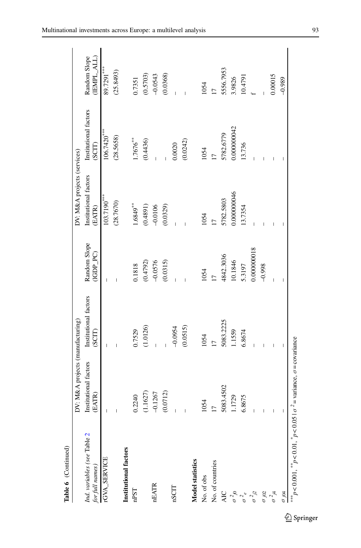| Table 6 (Continued)                                      |                                              |                                 |                           |                                 |                                 |                             |
|----------------------------------------------------------|----------------------------------------------|---------------------------------|---------------------------|---------------------------------|---------------------------------|-----------------------------|
|                                                          | DV: M&A projects (manufacturing)             |                                 |                           | DV: M&A projects (services)     |                                 |                             |
| Ind. variables (see Table 2<br>for full names)           | Institutional factors<br>(EATR)              | Institutional factors<br>(SCIT) | Random Slope<br>(IGDP_PC) | Institutional factors<br>(EATR) | Institutional factors<br>(SCIT) | Random Slope<br>(IEMPL_ALL) |
| rGVA_SERVICE                                             |                                              |                                 |                           | 103.7190***                     | 106.7420***                     | 89.7291***                  |
|                                                          |                                              |                                 |                           | (28.7670)                       | (28.5658)                       | (25.8493)                   |
| <b>Institutional factors</b>                             |                                              |                                 |                           |                                 |                                 |                             |
| nPST                                                     | 0.2240                                       | 0.7529                          | 0.1818                    | $1.6849**$                      | $1.7676***$                     | 0.7351                      |
|                                                          | (1.1627)                                     | (1.0126)                        | (0.4792)                  | (0.4891)                        | (0.4436)                        | (0.5703)                    |
| nEATR                                                    | $-0.1267$                                    |                                 | $-0.0576$                 | $-0.0106$                       |                                 | $-0.0543$                   |
|                                                          | (0.0712)                                     |                                 | (0.0315)                  | (0.0329)                        |                                 | (0.0368)                    |
| nSCIT                                                    |                                              | $-0.0954$                       |                           |                                 | 0.0020                          |                             |
|                                                          |                                              | (0.0515)                        |                           |                                 | (0.0242)                        |                             |
| <b>Model statistics</b>                                  |                                              |                                 |                           |                                 |                                 |                             |
| No. of obs                                               | 1054                                         | 1054                            | 1054                      | 1054                            | 1054                            | 1054                        |
| No. of countries                                         | $\overline{17}$                              | $\overline{17}$                 | $\overline{C}$            | $\overline{17}$                 | $\overline{17}$                 | $\overline{17}$             |
| <b>AIC</b>                                               | 5083.4502                                    | 5083.2225                       | 4842.3036                 | 5782.5803                       | 5782.6779                       | 5556.7953                   |
| $\omega_{\tau}$                                          | 1.1729                                       | 1.1559                          | 10.1846                   | 0.000000046                     | 0.000000042                     | 3.9826                      |
| $\sigma^2$                                               | 6.8675                                       | 6.8674                          | 5.3197                    | 13.7354                         | 13.736                          | 10.4791                     |
| $\sigma^2_{\phantom{2}j2}$                               | $\mathbf{I}$                                 |                                 | 0.000000018               |                                 |                                 |                             |
| $\sigma$ j02                                             | $\mathsf I$                                  |                                 | $-0.998$                  |                                 |                                 |                             |
| $\sigma^2$ ,4                                            | $\mathsf I$                                  |                                 |                           |                                 |                                 | 0.00015                     |
| σ j04                                                    |                                              |                                 |                           |                                 |                                 | $-0.989$                    |
| **** $p < 0.001$ , ${}^{**}p < 0.01$ , ${}^{*}p < 0.051$ | $\sigma^2$ = variance, $\sigma$ = covariance |                                 |                           |                                 |                                 |                             |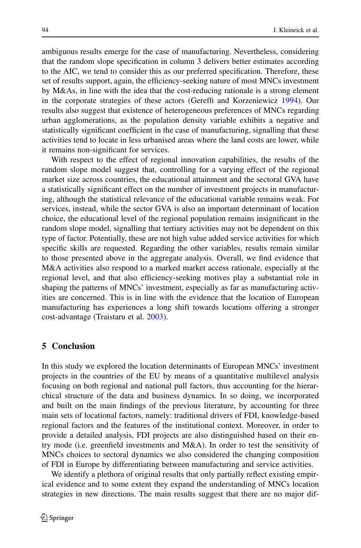ambiguous results emerge for the case of manufacturing. Nevertheless, considering that the random slope specification in column 3 delivers better estimates according to the AIC, we tend to consider this as our preferred specification. Therefore, these set of results support, again, the efficiency-seeking nature of most MNCs investment by M&As, in line with the idea that the cost-reducing rationale is a strong element in the corporate strategies of these actors (Gereffi and Korzeniewicz [1994\)](#page-37-28). Our results also suggest that existence of heterogeneous preferences of MNCs regarding urban agglomerations, as the population density variable exhibits a negative and statistically significant coefficient in the case of manufacturing, signalling that these activities tend to locate in less urbanised areas where the land costs are lower, while it remains non-significant for services.

With respect to the effect of regional innovation capabilities, the results of the random slope model suggest that, controlling for a varying effect of the regional market size across countries, the educational attainment and the sectoral GVA have a statistically significant effect on the number of investment projects in manufacturing, although the statistical relevance of the educational variable remains weak. For services, instead, while the sector GVA is also an important determinant of location choice, the educational level of the regional population remains insignificant in the random slope model, signalling that tertiary activities may not be dependent on this type of factor. Potentially, these are not high value added service activities for which specific skills are requested. Regarding the other variables, results remain similar to those presented above in the aggregate analysis. Overall, we find evidence that M&A activities also respond to a marked market access rationale, especially at the regional level, and that also efficiency-seeking motives play a substantial role in shaping the patterns of MNCs' investment, especially as far as manufacturing activities are concerned. This is in line with the evidence that the location of European manufacturing has experiences a long shift towards locations offering a stronger cost-advantage (Traistaru et al. [2003\)](#page-38-26).

# **5 Conclusion**

In this study we explored the location determinants of European MNCs' investment projects in the countries of the EU by means of a quantitative multilevel analysis focusing on both regional and national pull factors, thus accounting for the hierarchical structure of the data and business dynamics. In so doing, we incorporated and built on the main findings of the previous literature, by accounting for three main sets of locational factors, namely: traditional drivers of FDI, knowledge-based regional factors and the features of the institutional context. Moreover, in order to provide a detailed analysis, FDI projects are also distinguished based on their entry mode (i.e. greenfield investments and M&A). In order to test the sensitivity of MNCs choices to sectoral dynamics we also considered the changing composition of FDI in Europe by differentiating between manufacturing and service activities.

We identify a plethora of original results that only partially reflect existing empirical evidence and to some extent they expand the understanding of MNCs location strategies in new directions. The main results suggest that there are no major dif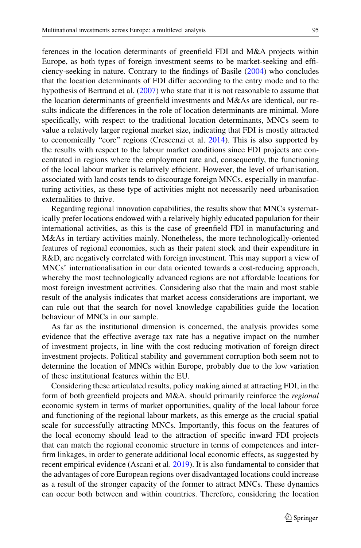ferences in the location determinants of greenfield FDI and M&A projects within Europe, as both types of foreign investment seems to be market-seeking and efficiency-seeking in nature. Contrary to the findings of Basile [\(2004\)](#page-36-10) who concludes that the location determinants of FDI differ according to the entry mode and to the hypothesis of Bertrand et al. [\(2007\)](#page-36-15) who state that it is not reasonable to assume that the location determinants of greenfield investments and M&As are identical, our results indicate the differences in the role of location determinants are minimal. More specifically, with respect to the traditional location determinants, MNCs seem to value a relatively larger regional market size, indicating that FDI is mostly attracted to economically "core" regions (Crescenzi et al. [2014\)](#page-36-4). This is also supported by the results with respect to the labour market conditions since FDI projects are concentrated in regions where the employment rate and, consequently, the functioning of the local labour market is relatively efficient. However, the level of urbanisation, associated with land costs tends to discourage foreign MNCs, especially in manufacturing activities, as these type of activities might not necessarily need urbanisation externalities to thrive.

Regarding regional innovation capabilities, the results show that MNCs systematically prefer locations endowed with a relatively highly educated population for their international activities, as this is the case of greenfield FDI in manufacturing and M&As in tertiary activities mainly. Nonetheless, the more technologically-oriented features of regional economies, such as their patent stock and their expenditure in R&D, are negatively correlated with foreign investment. This may support a view of MNCs' internationalisation in our data oriented towards a cost-reducing approach, whereby the most technologically advanced regions are not affordable locations for most foreign investment activities. Considering also that the main and most stable result of the analysis indicates that market access considerations are important, we can rule out that the search for novel knowledge capabilities guide the location behaviour of MNCs in our sample.

As far as the institutional dimension is concerned, the analysis provides some evidence that the effective average tax rate has a negative impact on the number of investment projects, in line with the cost reducing motivation of foreign direct investment projects. Political stability and government corruption both seem not to determine the location of MNCs within Europe, probably due to the low variation of these institutional features within the EU.

Considering these articulated results, policy making aimed at attracting FDI, in the form of both greenfield projects and M&A, should primarily reinforce the *regional* economic system in terms of market opportunities, quality of the local labour force and functioning of the regional labour markets, as this emerge as the crucial spatial scale for successfully attracting MNCs. Importantly, this focus on the features of the local economy should lead to the attraction of specific inward FDI projects that can match the regional economic structure in terms of competences and interfirm linkages, in order to generate additional local economic effects, as suggested by recent empirical evidence (Ascani et al. [2019\)](#page-36-28). It is also fundamental to consider that the advantages of core European regions over disadvantaged locations could increase as a result of the stronger capacity of the former to attract MNCs. These dynamics can occur both between and within countries. Therefore, considering the location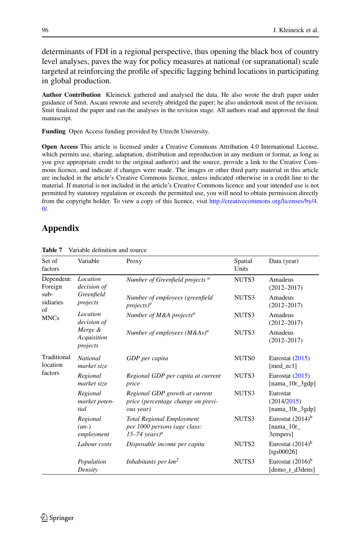determinants of FDI in a regional perspective, thus opening the black box of country level analyses, paves the way for policy measures at national (or supranational) scale targeted at reinforcing the profile of specific lagging behind locations in participating in global production.

**Author Contribution** Kleineick gathered and analysed the data. He also wrote the draft paper under guidance of Smit. Ascani rewrote and severely abridged the paper; he also undertook most of the revision. Smit finalized the paper and ran the analyses in the revision stage. All authors read and approved the final manuscript.

**Funding** Open Access funding provided by Utrecht University.

**Open Access** This article is licensed under a Creative Commons Attribution 4.0 International License, which permits use, sharing, adaptation, distribution and reproduction in any medium or format, as long as you give appropriate credit to the original author(s) and the source, provide a link to the Creative Commons licence, and indicate if changes were made. The images or other third party material in this article are included in the article's Creative Commons licence, unless indicated otherwise in a credit line to the material. If material is not included in the article's Creative Commons licence and your intended use is not permitted by statutory regulation or exceeds the permitted use, you will need to obtain permission directly from the copyright holder. To view a copy of this licence, visit [http://creativecommons.org/licenses/by/4.](http://creativecommons.org/licenses/by/4.0/)  $\Omega$ .

# **Appendix**

| Set of<br>factors       | Variable                           | Proxy                                                                                         | Spatial<br>Units | Data (year)                                     |
|-------------------------|------------------------------------|-----------------------------------------------------------------------------------------------|------------------|-------------------------------------------------|
| Dependent:<br>Foreign   | Location<br>decision of            | Number of Greenfield projects <sup>a</sup>                                                    | NUTS3            | Amadeus<br>$(2012 - 2017)$                      |
| sub-<br>sidiaries<br>of | Greenfield<br>projects             | Number of employees (greenfield<br>$projects)^a$                                              | NUTS3            | Amadeus<br>$(2012 - 2017)$                      |
| <b>MNCs</b>             | Location<br>decision of            | Number of M&A projects <sup>a</sup>                                                           | NUTS3            | Amadeus<br>$(2012 - 2017)$                      |
|                         | Merge &<br>Acquisition<br>projects | Number of employees $(M&As)^a$                                                                | NUTS3            | Amadeus<br>$(2012 - 2017)$                      |
| Traditional<br>location | <b>National</b><br>market size     | GDP per capita                                                                                | NUTS0            | Eurostat $(2015)$<br>$[med\_ec1]$               |
| factors                 | Regional<br>market size            | Regional GDP per capita at current<br>price                                                   | NUTS3            | Eurostat $(2015)$<br>$[nama_10r_3gdp]$          |
|                         | Regional<br>market poten-<br>tial  | Regional GDP growth at current<br>price (percentage change on previ-<br>ous year)             | NUTS3            | Eurostat<br>(2014/2015)<br>$[nama_10r_3gdp]$    |
|                         | Regional<br>$(un-)$<br>employment  | <b>Total Regional Employment</b><br>per 1000 persons (age class:<br>15–74 years) <sup>a</sup> | NUTS3            | Eurostat $(2014)^b$<br>$[name_10r]$<br>3empers] |
|                         | Labour costs                       | Disposable income per capita                                                                  | NUTS2            | Eurostat $(2014)^b$<br>[tgs $00026$ ]           |
|                         | Population<br>Density              | Inhabitants per $km^2$                                                                        | NUTS3            | Eurostat $(2016)^b$<br>[demo_r_d3dens]          |

<span id="page-29-0"></span>**Table 7** Variable definition and source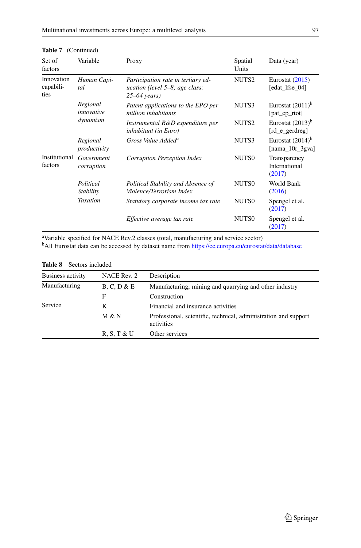| Set of                          | Variable                 | Proxy                                                                                            | Spatial           | Data (year)                              |
|---------------------------------|--------------------------|--------------------------------------------------------------------------------------------------|-------------------|------------------------------------------|
| factors                         |                          |                                                                                                  | Units             |                                          |
| Innovation<br>capabili-<br>ties | Human Capi-<br>tal       | Participation rate in tertiary ed-<br>ucation (level $5-8$ ; age class:<br>$25-64 \text{ years}$ | NUTS <sub>2</sub> | Eurostat $(2015)$<br>[edat_lfse_04]      |
|                                 | Regional<br>innovative   | Patent applications to the EPO per<br>million inhabitants                                        | NUTS3             | Eurostat $(2011)^b$<br>[pat_ep_rtot]     |
|                                 | dynamism                 | Instrumental R&D expenditure per<br><i>inhabitant (in Euro)</i>                                  | NUTS2             | Eurostat $(2013)^b$<br>[rd_e_gerdreg]    |
|                                 | Regional<br>productivity | Gross Value Added <sup>a</sup>                                                                   | NUTS3             | Eurostat $(2014)^b$<br>$[nama_10r_3gva]$ |
| Institutional<br>factors        | Government<br>corruption | Corruption Perception Index                                                                      | NUTS0             | Transparency<br>International<br>(2017)  |
|                                 | Political<br>Stability   | Political Stability and Absence of<br>Violence/Terrorism Index                                   | NUTS0             | World Bank<br>(2016)                     |
|                                 | <b>Taxation</b>          | Statutory corporate income tax rate                                                              | NUTS0             | Spengel et al.<br>(2017)                 |
|                                 |                          | Effective average tax rate                                                                       | NUTS0             | Spengel et al.<br>(2017)                 |

#### **Table 7** (Continued)

a Variable specified for NACE Rev.2 classes (total, manufacturing and service sector)

b<sub>All</sub> Eurostat data can be accessed by dataset name from <https://ec.europa.eu/eurostat/data/database>

| <b>Business activity</b> | NACE Rev. 2 | Description                                                                   |
|--------------------------|-------------|-------------------------------------------------------------------------------|
| Manufacturing            | B, C, D & E | Manufacturing, mining and quarrying and other industry                        |
|                          | F           | Construction                                                                  |
| Service                  | K           | Financial and insurance activities                                            |
|                          | M & N       | Professional, scientific, technical, administration and support<br>activities |
|                          | R, S, T & U | Other services                                                                |

#### <span id="page-30-0"></span>**Table 8** Sectors included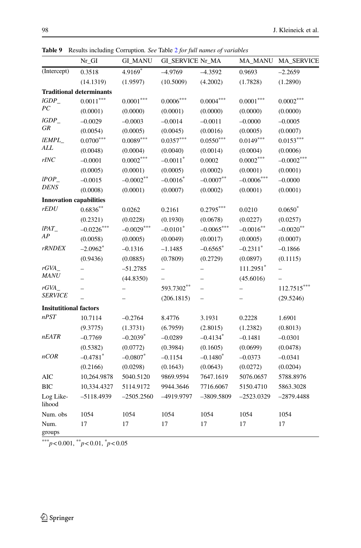|                                | $Nr_GI$                         | <b>GI_MANU</b>         | <b>GI_SERVICE Nr_MA</b> |                          | <b>MA_MANU</b>         | <b>MA_SERVICE</b> |
|--------------------------------|---------------------------------|------------------------|-------------------------|--------------------------|------------------------|-------------------|
| (Intercept)                    | 0.3518                          | 4.9169*                | $-4.9769$               | $-4.3592$                | 0.9693                 | $-2.2659$         |
|                                | (14.1319)                       | (1.9597)               | (10.5009)               | (4.2002)                 | (1.7828)               | (1.2890)          |
|                                | <b>Traditional determinants</b> |                        |                         |                          |                        |                   |
| lGDP                           | $0.0011***$                     | $0.0001***$            | $0.0006***$             | $0.0004***$              | $0.0001***$            | $0.0002***$       |
| PC                             | (0.0001)                        | (0.0000)               | (0.0001)                | (0.0000)                 | (0.0000)               | (0.0000)          |
| lGDP                           | $-0.0029$                       | $-0.0003$              | $-0.0014$               | $-0.0011$                | $-0.0000$              | $-0.0005$         |
| GR                             | (0.0054)                        | (0.0005)               | (0.0045)                | (0.0016)                 | (0.0005)               | (0.0007)          |
| lEMPL_                         | $0.0700***$                     | $0.0089***$            | $0.0357***$             | $0.0550***$              | $0.0149***$            | $0.0153***$       |
| ALL                            | (0.0048)                        | (0.0004)               | (0.0040)                | (0.0014)                 | (0.0004)               | (0.0006)          |
| rNC                            | $-0.0001$                       | $0.0002***$            | $-0.0011$ <sup>*</sup>  | 0.0002                   | $0.0002***$            | $-0.0002***$      |
|                                | (0.0005)                        | (0.0001)               | (0.0005)                | (0.0002)                 | (0.0001)               | (0.0001)          |
| IPOP                           | $-0.0015$                       | $-0.0002**$            | $-0.0016$ *             | $-0.0007**$              | $-0.0006***$           | $-0.0000$         |
| <b>DENS</b>                    | (0.0008)                        | (0.0001)               | (0.0007)                | (0.0002)                 | (0.0001)               | (0.0001)          |
| <b>Innovation capabilities</b> |                                 |                        |                         |                          |                        |                   |
| rEDU                           | $0.6836**$                      | 0.0262                 | 0.2161                  | $0.2795***$              | 0.0210                 | $0.0650*$         |
|                                | (0.2321)                        | (0.0228)               | (0.1930)                | (0.0678)                 | (0.0227)               | (0.0257)          |
| $l$ <i>PAT</i>                 | $-0.0226***$                    | $-0.0029***$           | $-0.0101$ <sup>*</sup>  | $-0.0065***$             | $-0.0016$ **           | $-0.0020$ **      |
| AP                             | (0.0058)                        | (0.0005)               | (0.0049)                | (0.0017)                 | (0.0005)               | (0.0007)          |
| <b>rRNDEX</b>                  | $-2.0962$ <sup>*</sup>          | $-0.1316$              | $-1.1485$               | $-0.6565$ <sup>*</sup>   | $-0.2311$ <sup>*</sup> | $-0.1866$         |
|                                | (0.9436)                        | (0.0885)               | (0.7809)                | (0.2729)                 | (0.0897)               | (0.1115)          |
| rGVA                           |                                 | $-51.2785$             |                         | $\qquad \qquad -$        | 111.2951*              |                   |
| <b>MANU</b>                    |                                 | (44.8350)              |                         |                          | (45.6016)              |                   |
| rGVA                           |                                 |                        | 593.7302**              | $\overline{a}$           |                        | $112.7515***$     |
| <b>SERVICE</b>                 |                                 |                        | (206.1815)              | $\overline{\phantom{0}}$ |                        | (29.5246)         |
| <b>Insitutitional factors</b>  |                                 |                        |                         |                          |                        |                   |
| nPST                           | 10.7114                         | $-0.2764$              | 8.4776                  | 3.1931                   | 0.2228                 | 1.6901            |
|                                | (9.3775)                        | (1.3731)               | (6.7959)                | (2.8015)                 | (1.2382)               | (0.8013)          |
| nEATR                          | $-0.7769$                       | $-0.2039$ <sup>*</sup> | $-0.0289$               | $-0.4134$ <sup>*</sup>   | $-0.1481$              | $-0.0301$         |
|                                | (0.5382)                        | (0.0772)               | (0.3984)                | (0.1605)                 | (0.0699)               | (0.0478)          |
| nCOR                           | $-0.4781$ <sup>*</sup>          | $-0.0807$ *            | $-0.1154$               | $-0.1480*$               | $-0.0373$              | $-0.0341$         |
|                                | (0.2166)                        | (0.0298)               | (0.1643)                | (0.0643)                 | (0.0272)               | (0.0204)          |
| <b>AIC</b>                     | 10,264.9878                     | 5040.5120              | 9869.9594               | 7647.1619                | 5076.0657              | 5788.8976         |
| <b>BIC</b>                     | 10,334.4327                     | 5114.9172              | 9944.3646               | 7716.6067                | 5150.4710              | 5863.3028         |
| Log Like-<br>lihood            | $-5118.4939$                    | $-2505.2560$           | -4919.9797              | -3809.5809               | $-2523.0329$           | $-2879.4488$      |
| Num. obs                       | 1054                            | 1054                   | 1054                    | 1054                     | 1054                   | 1054              |
| Num.<br>groups                 | 17                              | 17                     | 17                      | 17                       | 17                     | 17                |

<span id="page-31-0"></span>**Table 9** Results including Corruption*. See* Table [2](#page-12-0) *for full names of variables*

\*\*\**p*< 0.001, \*\**p*< 0.01, \* *p*< 0.05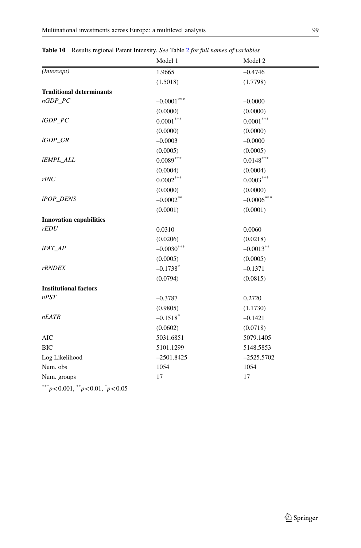|                                 | Model 1      | Model 2      |
|---------------------------------|--------------|--------------|
| (Intercept)                     | 1.9665       | $-0.4746$    |
|                                 | (1.5018)     | (1.7798)     |
| <b>Traditional determinants</b> |              |              |
| $nGDP\_PC$                      | $-0.0001***$ | $-0.0000$    |
|                                 | (0.0000)     | (0.0000)     |
| $lGDP\_PC$                      | $0.0001***$  | $0.0001***$  |
|                                 | (0.0000)     | (0.0000)     |
| $lGDP_GR$                       | $-0.0003$    | $-0.0000$    |
|                                 | (0.0005)     | (0.0005)     |
| <b>IEMPL_ALL</b>                | $0.0089***$  | $0.0148***$  |
|                                 | (0.0004)     | (0.0004)     |
| rNC                             | $0.0002***$  | $0.0003***$  |
|                                 | (0.0000)     | (0.0000)     |
| <b>IPOP_DENS</b>                | $-0.0002**$  | $-0.0006***$ |
|                                 | (0.0001)     | (0.0001)     |
| <b>Innovation capabilities</b>  |              |              |
| rEDU                            | 0.0310       | 0.0060       |
|                                 | (0.0206)     | (0.0218)     |
| <b>IPAT AP</b>                  | $-0.0030***$ | $-0.0013$ ** |
|                                 | (0.0005)     | (0.0005)     |
| <b>rRNDEX</b>                   | $-0.1738*$   | $-0.1371$    |
|                                 | (0.0794)     | (0.0815)     |
| <b>Institutional factors</b>    |              |              |
| nPST                            | $-0.3787$    | 0.2720       |
|                                 | (0.9805)     | (1.1730)     |
| nEATR                           | $-0.1518*$   | $-0.1421$    |
|                                 | (0.0602)     | (0.0718)     |
| <b>AIC</b>                      | 5031.6851    | 5079.1405    |
| <b>BIC</b>                      | 5101.1299    | 5148.5853    |
| Log Likelihood                  | $-2501.8425$ | $-2525.5702$ |
| Num. obs                        | 1054         | 1054         |
| Num. groups                     | 17           | 17           |

|  |  |  | <b>Table 10</b> Results regional Patent Intensity. See Table 2 for full names of variables |  |
|--|--|--|--------------------------------------------------------------------------------------------|--|
|--|--|--|--------------------------------------------------------------------------------------------|--|

 $***p < 0.001, *p < 0.01, *p < 0.05$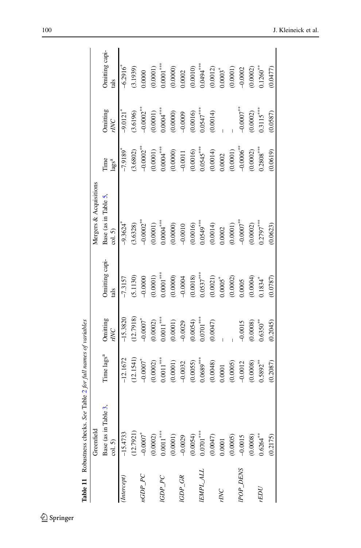|                                     | <b>Table 11</b> Robustness checks. See Table $2$ for full names of variables |                        |                        |                       |                                 |                           |                        |                           |
|-------------------------------------|------------------------------------------------------------------------------|------------------------|------------------------|-----------------------|---------------------------------|---------------------------|------------------------|---------------------------|
|                                     | Greenfield                                                                   |                        |                        |                       | Mergers & Acquisitions          |                           |                        |                           |
|                                     | Base (as in Table 3,<br>col. 5)                                              | Time lags <sup>a</sup> | Omitting<br>rINC       | Omitting capi-<br>als | Base (as in Table 5,<br>col. 5) | Time<br>lags <sup>a</sup> | <b>Initing</b><br>rINC | Omitting capi-<br>dis     |
| Intercept)                          | $-15.4733$                                                                   | 12.1672                | $-15.3820$             | $-7.3157$             | $-9.3624$ <sup>*</sup>          | $-7.9189$ <sup>*</sup>    | $-9.0121$ <sup>*</sup> | $-6.2916$ <sup>*</sup>    |
|                                     | (12.7921)                                                                    | (12.1541)              | 12.7918)               | (5.1130)              | (3.6328)                        | (3.6802)                  | (3.6196)               | (3.1939)                  |
| $Dd$ <sup><math>P</math></sup> $DC$ | $-0.0007$ <sup>*</sup>                                                       | $-0.0007$ *            | $-0.0007$ <sup>*</sup> | $-0.0000$             | $-0.0002***$                    | $-0.0002***$              | $-0.0002***$           | 0.0000                    |
|                                     | (0.0002)                                                                     | (0.0002)               | (0.0002)               | (0.0001)              | (0.0001)                        | (0.0001)                  | (0.0001)               | (0.0001)                  |
| $GDP\_PC$                           | $0.0011***$                                                                  | $0.0011***$            | $0.0011***$            | $0.0001***$           | $0.0004***$                     | $0.0004***$               | $0.0004***$            | $0.0001***$               |
|                                     | (0.0001)                                                                     | (0.0001)               | (0.0001)               | (0.0000)              | (0.0000)                        | (0.0000)                  | (0.0000)               | (0.0000)                  |
| $GDP_C$ $RR$                        | $-0.0029$                                                                    | $-0.0032$              | $-0.0029$              | $-0.0004$             | $-0.0010$                       | $-0.0011$                 | $-0.0009$              | 0.0002                    |
|                                     | (0.0054)                                                                     | (0.0055)               | (0.0054)               | (0.0018)              | (0.0016)                        | (0.0016)                  | (0.0016)               |                           |
| EMPL_ALL                            | $0.0701***$                                                                  | $0.0689***$            | $0.0701***$            | $0.0537***$           | $0.0549***$                     | $0.0545***$               | $0.0547***$            | $(0.0010)$<br>$0.0494***$ |
|                                     | (0.0047)                                                                     | (0.0048)               | (0.0047)               | (0.0021)              | (0.0014)                        | (0.0014)                  | (0.0014)               | (0.0012)                  |
| rINC                                | 0.0001                                                                       | 0.0001                 |                        | $0.0005$ *            | 0.0002                          | 0.0002                    |                        | $0.0003*$                 |
|                                     | (0.0005)                                                                     | (0.0005)               |                        | (0.0002)              | (0.0001)                        | (0.0001)                  |                        | (0.0001)                  |
| POP_DENS                            | $-0.0015$                                                                    | $-0.0012$              | $-0.0015$              | 0.0005                | $-0.0007$ **                    | $-0.0006$ <sup>***</sup>  | $-0.0007***$           | $-0.0002$                 |
|                                     | (0.0008)                                                                     | (0.0008)               | (0.0008)               | (0.0004)              | (0.0002)                        | (0.0002)                  | (0.0002)               | (0.0002)                  |
| rEDU                                | $0.6264***$                                                                  | $0.5892***$            | $0.6350***$            | $0.1834$ <sup>*</sup> | $0.2797***$                     | $0.2808***$               | $0.3115***$            | $0.1260$ <sup>***</sup>   |
|                                     | (0.2175)                                                                     | (0.2087)               | (0.2045)               | (0.0787)              | 0.0623                          | (0.0619)                  | (0.0587)               | (12000)                   |
|                                     |                                                                              |                        |                        |                       |                                 |                           |                        |                           |

 $\underline{\textcircled{\tiny 2}}$  Springer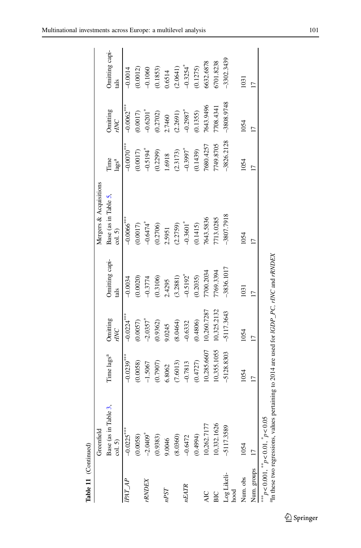|                                | Greenfield                     |                        |                        |                        | Mergers & Acquisitions          |                                 |                         |                        |
|--------------------------------|--------------------------------|------------------------|------------------------|------------------------|---------------------------------|---------------------------------|-------------------------|------------------------|
|                                | Base (as in Table 3,<br>col. 5 | Time lags <sup>a</sup> | Omitting<br><b>NNC</b> | Omitting capi-<br>tals | Base (as in Table 5,<br>col. 5) | <b>Time</b><br>lag <sup>a</sup> | <b>Omitting</b><br>rINC | Omitting capi-<br>tals |
| <b>PAT_AP</b>                  | $-0.0225***$                   | $-0.0239***$           | $-0.0224$ ***          | $-0.0034$              | $-0.0066***$                    | $-0.0070***$                    | $-0.0062***$            | $-0.0014$              |
|                                | (0.0058)                       | (0.0058)               | (0.0057)               | (0.0020)               | (0.0017)                        | (0.0017)                        | (0.0017)                | (0.0012)               |
| <b>rNDEX</b>                   | $-2.0409$ <sup>*</sup>         | $-1.5067$              | $-2.0357$ <sup>*</sup> | $-0.3774$              | $-0.6474$ <sup>*</sup>          | $-0.5194$ <sup>*</sup>          | $-0.6201$ <sup>*</sup>  | $-0.1060$              |
|                                | (0.9383)                       | (0.7907)               | (0.9362)               | (0.3106)               | (0.2706)                        | (0.2299)                        | (0.2702)                | (0.1853)               |
| nPST                           | 9.0046                         | 6.8062                 | 9.0245                 | 2.4295                 | 2.5951                          | 1.6918                          | 2.7460                  | 0.6514                 |
|                                | (8.0360)                       | (7.6013)               | (8.0464)               | (3.2881)               | (2.2759)                        | (2.3173)                        | (2.2691)                | (2.0641)               |
| nEATR                          | $-0.6472$                      | $-0.7813$              | $-0.6332$              | $-0.5192$ <sup>*</sup> | $-0.3601$ <sup>*</sup>          | $-0.3997$ <sup>*</sup>          | $-0.2987$ <sup>*</sup>  | $-0.3254$ <sup>*</sup> |
|                                | (0.4994)                       | (0.4727)               | (0.4806)               | (0.2035)               | (0.1415)                        | (0.1439)                        | (0.1355)                | (0.1275)               |
| AIC                            | 10,262.7177                    | 10,285.6607            | 10,260.7287            | 7700.2034              | 7643.5836                       | 7680.4257                       | 7643.9496               | 6632.6878              |
| ВIС                            | 10,332.1626                    | 10,355.1055            | 10,325.2132            | 7769.3394              | 7713.0285                       | 7749.8705                       | 7708.4341               | 6701.8238              |
| Log Likeli-<br>hood            | $-5117.3589$                   | -5128.8303             | $-5117.3643$           | -3836.1017             | -3807.7918                      | $-3826.2128$                    | -3808.9748              | $-3302.3439$           |
| Num. obs                       | 1054                           | 1054                   | 1054                   | 1031                   | 1054                            | 1054                            | 1054                    | 1031                   |
| $\overline{17}$<br>Num. groups |                                | $\overline{17}$        | $\overline{17}$        | $\overline{17}$        | $\overline{17}$                 | $\overline{\phantom{0}}$        | $\overline{17}$         | $\overline{17}$        |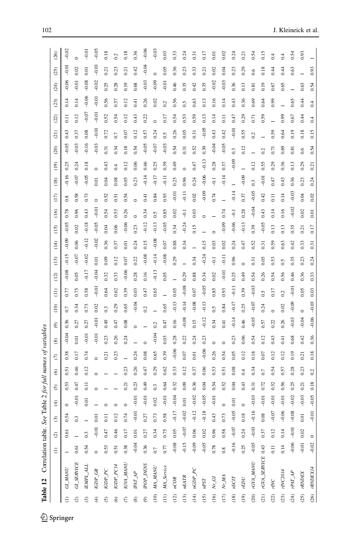|                          | <b>Table 12</b> Correlation table. See |                   |          |                                                     |               | Table 2 for full names of variables |      |         |         |               |               |               |         |                |                 |                 |                          |                 |                        |                 |                        |                  |         |         |               |             |
|--------------------------|----------------------------------------|-------------------|----------|-----------------------------------------------------|---------------|-------------------------------------|------|---------|---------|---------------|---------------|---------------|---------|----------------|-----------------|-----------------|--------------------------|-----------------|------------------------|-----------------|------------------------|------------------|---------|---------|---------------|-------------|
|                          |                                        | $\ominus$         | $\odot$  | $\odot$                                             | $\widehat{f}$ | 6                                   | ୲    | ε       | ⊛       | ම             | $\frac{1}{2}$ | $\widehat{=}$ | (12)    | (13)           | (14)            | (15)            | (17)<br>$\frac{6}{2}$    | (18)            | (19)                   | (20)            | (21)                   | (22)             | (23)    | (24)    | (25)          | (26)        |
|                          | <b>GL_MANU</b>                         | $\overline{a}$    | $0.61\,$ | 0.54                                                | $\circ$       | 0.53                                | 0.51 | 0.38    | $-0.04$ | 0.36          | 0.7           | 0.77          | $-0.08$ | $-0.15$        | $-0.09$         | $-0.05$         | $_{0.8}$<br>0.78         |                 | 0.25<br>$-0.16$        |                 | 0.43<br>$-0.05$        | $\overline{0}$   | 0.14    | $-0.06$ | $\frac{1}{9}$ | $-0.02$     |
|                          | <b>GI_SERVICE</b>                      | $0.61\,$          |          | 0.3                                                 | $-0.01$       | 0.47                                | 0.46 | 0.17    | 0.01    | 0.27          | 0.34          | 0.75          | 0.05    | $-0.07$        | 0.06            | $0.02\,$        | 0.58<br>0.96             |                 | 0.24<br>$-0.07$        |                 | 0.37<br>$-0.03$        | 0.12             | 0.14    | $-0.01$ | 0.02          | $\circ$     |
|                          | <b>EMPL_ALL</b>                        | 0.54              | 0.3      |                                                     | 0.01          | $\overline{5}$                      | 0.12 | 0.74    | $-0.01$ | 0.27          | 0.73          | 0.58          | $-0.17$ | $-0.02$        | $-9.12$         | $-0.18$         | 0.73<br>0.43             |                 | 0.18<br>$-0.05$        |                 | $0.08$<br>$-0.16$      | $-0.07$          | $-0.06$ | $-0.08$ | 0.01          | $rac{1}{2}$ |
| $\bigoplus$              | $\label{eq:GDP_GR} IGDP\_GR$           | $\circ$           | $-0.01$  |                                                     |               |                                     |      | $\circ$ | $-0.01$ | $\frac{1}{9}$ | 0.02          | $rac{1}{2}$   | $-0.04$ | 0.01           | $-0.02$         | $-0.05$         | $\circ$<br>$-0.01$       | 0.01            | $\circ$                |                 | $rac{1}{2}$<br>$-0.03$ | $rac{1}{2}$      | $-0.01$ | $-0.02$ | $-0.03$       | $-0.05$     |
| $\odot$                  | IGDP_PC                                | 0.53              | 0.47     |                                                     | $\circ$       |                                     |      | 0.21    | 0.23    | 0.49          | 0.3           | 0.64          | 0.32    | 0.09           | 0.36            | 0.04            | 0.52<br>0.54             |                 | 0.43<br>0.04           | 0.31            | 0.72                   | 0.52             | 0.56    | 0.25    | 0.21          | 0.18        |
| $\circledcirc$           | IGDP_PC14                              | $0.51\,$          | 0.46     |                                                     | $\circ$       |                                     |      | 0.23    | 0.26    | 0.47          | 0.29          | 0.62          | 0.33    | 0.12           | 0.37            | 0.06            | 0.51<br>0.53             | 0.08            | 0.4                    | 0.34            | 0.7                    | 0.54             | 0.57    | 0.28    | 0.23          | 0.2         |
| $\widehat{\epsilon}$     | <b>IGVA_MANU</b>                       | $0.38\,$          | 0.17     | $0.11$<br>0.12<br>0.12<br>0.74                      | $\circ$       | 0.21                                | 0.23 |         | 0.24    | 0.08          | 0.65          | 0.39          | $-0.06$ | 0.07           | 0.01            | $-0.06$         | 0.54<br>0.26             |                 | 0.12<br>0.05           | 0.18            | 0.07                   | 0.12             | 0.12    | 0.19    | 0.21          | 0.18        |
| $\circledcirc$           | <b>PAT_AP</b>                          | $-0.04$           | $0.01$   | $-0.01$                                             | $-0.01$       | 0.23                                | 0.26 | 0.24    |         | $\circ$       | $-0.04$       | 0.03          | 0.28    | 0.22           | 0.24            | $\circ$<br>0.23 | $\circ$                  |                 | 0.06<br>0.23           | 0.54            | 0.12                   | 0.43             | 0.41    | 0.68    | 0.42          | 0.36        |
| $\widehat{\mathfrak{S}}$ | <b>POP_DENS</b>                        | 0.36              | 0.27     |                                                     | $-0.01$       | 64.0                                | 0.47 | 0.08    | $\circ$ |               | 0.2           | 0.47          | 0.16    | $-0.08$        | 0.15            | $-0.12$         | 0.41<br>0.34             |                 | 0.46<br>$-0.14$        |                 | 0.57<br>$-0.05$        | 0.22             | 0.26    | $-0.03$ | $-0.04$       | $-0.06$     |
| $\frac{1}{2}$            | MA_MANU                                | $0.7\,$           | 0.34     | $\begin{array}{c} 0.27 \\ 0.73 \\ 0.58 \end{array}$ | 0.02          | 0.3                                 | 0.29 | 0.65    | $-0.04$ | 0.2           |               | 0.65          | $-0.13$ | $-0.14$        | $-0.08$         | $-0.13$         | 0.84<br>0.5              |                 | 0.25<br>$-0.17$        |                 | 0.24<br>$-0.07$        | $\circ$          | 0.02    | $-0.09$ | $\circ$       | $-0.03$     |
| $\widehat{\Xi}$          | MA_Service                             | 0.77              | 0.75     |                                                     | $-0.01$       | 0.64                                | 0.62 | 0.39    | 0.03    | 0.47          | 0.65          |               | 0.05    | $-0.08$        | 0.07            | $-0.05$         | 0.93<br>0.85             |                 | 0.39<br>$-0.11$        | $-0.03$         | 0.5                    | 0.17             | 0.2     | $-0.01$ | 0.05          | 0.03        |
| $(12)$                   | nCOR                                   | $-0.08$           | $0.05$   | $-0.17$                                             | $-0.04$       | 0.32                                | 0.33 | $-0.06$ | 0.28    | 0.16          | $-0.13$       | 0.05          |         | 0.29           | 0.88            | 0.34            | 0.02                     | 0.25<br>$-0.01$ | 64.0                   | 0.54            | 0.26                   | 0.54             | 0.56    | 0.46    | 0.36          | 0.33        |
| (13)                     | nEATR                                  | $-0.15$           | $-0.07$  | $-0.02$                                             | $0.01$        | 0.09                                | 0.12 | 0.07    | 0.22    | $-0.08$       | $-0.14$       | $-0.08$       | 0.29    |                | 0.34            | $-0.24$         | $\overline{q}$           | 0.96<br>$-0.11$ | $\circ$                | 0.31            | 0.05                   | 0.53             | 0.5     | 0.35    | 0.23          | 0.24        |
| (14)                     | $nGDP\_PC$                             | $-0.09$           | 0.06     | 17<br>$\vec{\gamma}$                                | $-0.02$       | 0.36                                | 0.37 | 0.01    | 0.24    | 0.15          | $-0.08$       | $0.07$        | 0.88    | 0.34           |                 | 0.15            | 0.03                     | $0.02\,$        | 0.47<br>0.24           | 0.52            | 0.31                   | 0.59             | 0.63    | 0.42    | 0.33          | 0.31        |
| (15)                     | nPST                                   | $-0.05$           | $0.02\,$ | $-0.18$                                             | $-0.05$       | 0.04                                | 0.06 | $-0.06$ | 0.23    | $-0.12$       | $-0.13$       | $-0.05$       | 0.34    | $-0.24$        | 0.15            | $\circ$         |                          | $-0.09$         | $-0.06$                | 0.39<br>$-0.13$ | $-0.05$                | 0.13             | 0.13    | 0.35    | 0.21          | 0.17        |
| (16)                     | $N r\_G I$                             | 0.78              | 0.96     |                                                     | $-0.01$       | 0.54                                | 0.53 | 0.26    | $\circ$ | 0.34          | 0.5           | 0.85          | 0.02    | $\overline{q}$ | $\circ$<br>0.03 |                 |                          | 0.74            | 0.28<br>$\overline{q}$ | $-0.04$         | 0.43                   | 0.14             | 0.16    | $-0.02$ | 0.02          | 0.01        |
| $\left(17\right)$        | $Nr\_MA$                               | 0.8               | 0.58     | $\begin{array}{c} 0.43 \\ 0.73 \end{array}$         | $\circ$       | 0.52                                | 0.51 | 0.54    | $\circ$ | 0.41          | 0.84          | 0.93          | $-0.01$ | $-0.11$        | 0.02            | $-0.09$         | 0.74                     |                 | 0.37<br>$-0.14$        | $-0.05$         | 0.42                   | $\overline{0}$ . | 0.14    | $-0.03$ | 0.04          | 0.02        |
| $^{(18)}$                | nSCT                                   | $-0.16$           | $-0.07$  |                                                     | 0.01          | 0.04                                | 0.08 | 0.05    | 0.23    | $-0.14$       | $-0.17$       | $-9.11$       | 0.25    | 0.96           | 0.24            | $-0.06$         | $\overline{q}$           | $-0.14$         |                        | 0.3<br>$-0.09$  | $-0.01$                | 0.47             | 0.43    | 0.36    | 0.23          | 0.24        |
| (19)                     | $rEDU$                                 | 0.25              | 0.24     | $-0.05$<br>0.18                                     | $\circ$       | 0.43                                | 0.4  | 0.12    | 0.06    | 0.46          | 0.25          | 0.39          | 0.49    | $\circ$        | 0.47            | $-0.13$         | 0.37<br>0.28             |                 | $-0.09$                | 0.12            | 0.55                   | 0.29             | 0.36    | 0.13    | 0.29          | 0.21        |
| (20)                     | <b>FGVA_MANU</b>                       | $-0.05$           | $-0.03$  | $-0.16$                                             | $-0.03$       | 0.31                                | 0.34 | 0.18    | 0.54    | $-0.05$       | $-0.07$       | $-0.03$       | 0.54    | 0.31           | 0.52            | 0.39            | $-0.04$                  | 0.3<br>$-0.05$  | 0.12                   |                 | 0.2                    | 0.71             | 0.69    | 0.81    | 0.6           | 0.54        |
| (21)                     | $rGVA\_SERVICE$ 0.43                   |                   | 0.37     | $_{0.08}$                                           | $-0.01$       | 0.72                                | 0.7  | 0.07    | 0.12    | 0.57          | 0.24          | 0.5           | 0.26    | 0.05           | 0.31            | $-0.05$         | 0.42<br>0.43             |                 | 0.55<br>$-0.01$        | 0.2             |                        | 0.59             | 0.64    | 0.19    | 0.18          | 0.15        |
| (22)                     | rNC                                    | $\overline{0.11}$ | 0.12     | $-0.07$                                             | $-0.01$       | 0.52                                | 0.54 | 0.12    | 0.43    | 0.22          | $\circ$       | 0.17          | 0.54    | 0.53           | 0.59            | 0.13            | $\overline{0}$ .<br>0.14 |                 | 0.29<br>0.47           | 0.71            | 0.59                   |                  | 0.99    | 0.67    | 0.44          | 0.4         |
| (23)                     | rINC2014                               | $0.14$            | 0.14     | $-0.06$                                             | $-0.01$       | 0.56                                | 0.57 | 0.12    | 0.41    | 0.26          | $0.02\,$      | 0.2           | 0.56    | 0.5            | 0.63            | 0.13            | 0.14<br>0.16             |                 | 0.36<br>0.43           | 0.69            | 0.64                   | 0.99             |         | 0.65    | 0.44          | $0.4\,$     |
| (24)                     | $r$ PAT_AP                             | $-0.06$           | $-0.01$  | $-0.08$                                             | $-0.02$       | 0.25                                | 0.28 | 0.19    | 0.68    | $-0.03$       | $-0.09$       | $-0.01$       | 0.46    | 0.35           | 0.42            | 0.35            | $-0.02$                  | $-0.03$         | 0.13<br>0.36           | 0.81            | 0.19                   | 0.67             | 0.65    |         | 0.63          | 0.54        |
| (25)                     | <b>RNDEX</b>                           | $-0.01$ 0.02      |          | $_{0.01}$                                           | $-0.03$       | 0.21                                | 0.23 | 0.21    | 0.42    | $-0.04$       | $\circ$       | 0.05          | 0.36    | 0.23           | 0.33            | 0.21            | 0.04<br>$0.02\,$         |                 | 0.29<br>0.23           | 0.6             | 0.18                   | 0.44             | 0.44    | 0.63    |               | 0.93        |
| (26)                     | rRNDEX14                               | $-0.02$           | $\circ$  | $-0.01$                                             | $-0.05$       | 0.18                                | 0.2  | 0.18    | 0.36    | $-0.06$       | $-0.03$       | 0.03          | 0.33    | 0.24           | 0.31            | 0.17            | $0.02\,$<br>0.01         | 0.24            | 0.21                   | 0.54            | 0.15                   | $^{0.4}$         | 0.4     | 0.54    | 0.93          |             |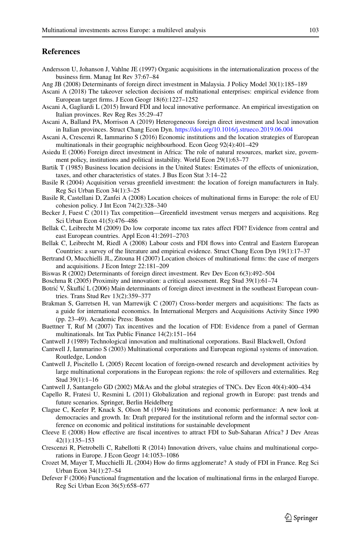#### **References**

- <span id="page-36-16"></span><span id="page-36-8"></span>Andersson U, Johanson J, Vahlne JE (1997) Organic acquisitions in the internationalization process of the business firm. Manag Int Rev 37:67–84
- <span id="page-36-0"></span>Ang JB (2008) Determinants of foreign direct investment in Malaysia. J Policy Model 30(1):185–189
- <span id="page-36-2"></span>Ascani A (2018) The takeover selection decisions of multinational enterprises: empirical evidence from European target firms. J Econ Geogr 18(6):1227–1252
- <span id="page-36-28"></span>Ascani A, Gagliardi L (2015) Inward FDI and local innovative performance. An empirical investigation on Italian provinces. Rev Reg Res 35:29–47
- <span id="page-36-5"></span>Ascani A, Balland PA, Morrison A (2019) Heterogeneous foreign direct investment and local innovation in Italian provinces. Struct Chang Econ Dyn. <https://doi.org/10.1016/j.strueco.2019.06.004>
- Ascani A, Crescenzi R, Iammarino S (2016) Economic institutions and the location strategies of European multinationals in their geographic neighbourhood. Econ Geog 92(4):401–429
- <span id="page-36-24"></span><span id="page-36-7"></span>Asiedu E (2006) Foreign direct investment in Africa: The role of natural resources, market size, government policy, institutions and political instability. World Econ 29(1):63–77
- <span id="page-36-10"></span>Bartik T (1985) Business location decisions in the United States: Estimates of the effects of unionization, taxes, and other characteristics of states. J Bus Econ Stat 3:14–22
- <span id="page-36-12"></span>Basile R (2004) Acquisition versus greenfield investment: the location of foreign manufacturers in Italy. Reg Sci Urban Econ 34(1):3–25
- <span id="page-36-3"></span>Basile R, Castellani D, Zanfei A (2008) Location choices of multinational firms in Europe: the role of EU cohesion policy. J Int Econ 74(2):328–340
- <span id="page-36-9"></span>Becker J, Fuest C (2011) Tax competition—Greenfield investment versus mergers and acquisitions. Reg Sci Urban Econ 41(5):476–486
- Bellak C, Leibrecht M (2009) Do low corporate income tax rates affect FDI? Evidence from central and east European countries. Appl Econ 41:2691–2703
- <span id="page-36-15"></span><span id="page-36-1"></span>Bellak C, Leibrecht M, Riedl A (2008) Labour costs and FDI flows into Central and Eastern European Countries: a survey of the literature and empirical evidence. Struct Chang Econ Dyn 19(1):17–37
- <span id="page-36-26"></span>Bertrand O, Mucchielli JL, Zitouna H (2007) Location choices of multinational firms: the case of mergers and acquisitions. J Econ Integr 22:181–209
- <span id="page-36-18"></span>Biswas R (2002) Determinants of foreign direct investment. Rev Dev Econ 6(3):492–504
- <span id="page-36-21"></span>Boschma R (2005) Proximity and innovation: a critical assessment. Reg Stud 39(1):61–74
- <span id="page-36-20"></span>Botric V, Škuflic L (2006) Main determinants of foreign direct investment in the southeast European countries. Trans Stud Rev 13(2):359–377
- Brakman S, Garretsen H, van Marrewijk C (2007) Cross-border mergers and acquisitions: The facts as a guide for international economics. In International Mergers and Acquisitions Activity Since 1990 (pp. 23–49). Academic Press: Boston
- <span id="page-36-25"></span>Buettner T, Ruf M (2007) Tax incentives and the location of FDI: Evidence from a panel of German multinationals. Int Tax Public Finance 14(2):151–164
- <span id="page-36-23"></span><span id="page-36-17"></span>Cantwell J (1989) Technological innovation and multinational corporations. Basil Blackwell, Oxford
- Cantwell J, Iammarino S (2003) Multinational corporations and European regional systems of innovation. Routledge, London
- <span id="page-36-13"></span>Cantwell J, Piscitello L (2005) Recent location of foreign-owned research and development activities by large multinational corporations in the European regions: the role of spillovers and externalities. Reg Stud 39(1):1–16
- <span id="page-36-19"></span><span id="page-36-6"></span>Cantwell J, Santangelo GD (2002) M&As and the global strategies of TNCs. Dev Econ 40(4):400–434
- Capello R, Fratesi U, Resmini L (2011) Globalization and regional growth in Europe: past trends and future scenarios. Springer, Berlin Heidelberg
- <span id="page-36-27"></span>Clague C, Keefer P, Knack S, Olson M (1994) Institutions and economic performance: A new look at democracies and growth. In: Draft prepared for the institutional reform and the informal sector conference on economic and political institutions for sustainable development
- <span id="page-36-11"></span>Cleeve E (2008) How effective are fiscal incentives to attract FDI to Sub-Saharan Africa? J Dev Areas 42(1):135–153
- <span id="page-36-4"></span>Crescenzi R, Pietrobelli C, Rabellotti R (2014) Innovation drivers, value chains and multinational corporations in Europe. J Econ Geogr 14:1053–1086
- <span id="page-36-14"></span>Crozet M, Mayer T, Mucchielli JL (2004) How do firms agglomerate? A study of FDI in France. Reg Sci Urban Econ 34(1):27–54
- <span id="page-36-22"></span>Defever F (2006) Functional fragmentation and the location of multinational firms in the enlarged Europe. Reg Sci Urban Econ 36(5):658–677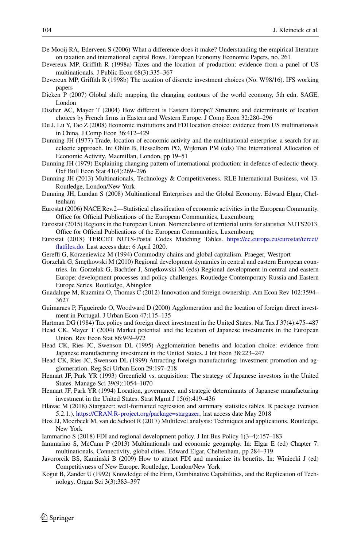- <span id="page-37-26"></span><span id="page-37-23"></span>De Mooij RA, Ederveen S (2006) What a difference does it make? Understanding the empirical literature on taxation and international capital flows. European Economy Economic Papers, no. 261
- Devereux MP, Griffith R (1998a) Taxes and the location of production: evidence from a panel of US multinationals. J Public Econ 68(3):335–367
- <span id="page-37-5"></span><span id="page-37-0"></span>Devereux MP, Griffith R (1998b) The taxation of discrete investment choices (No. W98/16). IFS working papers
- Dicken P (2007) Global shift: mapping the changing contours of the world economy, 5th edn. SAGE, London
- <span id="page-37-17"></span><span id="page-37-15"></span>Disdier AC, Mayer T (2004) How different is Eastern Europe? Structure and determinants of location choices by French firms in Eastern and Western Europe. J Comp Econ 32:280–296
- Du J, Lu Y, Tao Z (2008) Economic institutions and FDI location choice: evidence from US multinationals in China. J Comp Econ 36:412–429
- <span id="page-37-9"></span>Dunning JH (1977) Trade, location of economic activity and the multinational enterprise: a search for an eclectic approach. In: Ohlin B, Hesselborn PO, Wijkman PM (eds) The International Allocation of Economic Activity. Macmillan, London, pp 19–51
- <span id="page-37-16"></span><span id="page-37-10"></span>Dunning JH (1979) Explaining changing pattern of international production: in defence of eclectic theory. Oxf Bull Econ Stat 41(4):269–296
- Dunning JH (2013) Multinationals, Technology & Competitiveness. RLE International Business, vol 13. Routledge, London/New York
- <span id="page-37-27"></span>Dunning JH, Lundan S (2008) Multinational Enterprises and the Global Economy. Edward Elgar, Cheltenham
- <span id="page-37-21"></span>Eurostat (2006) NACE Rev.2—Statistical classification of economic activities in the European Community. Office for Official Publications of the European Communities, Luxembourg
- <span id="page-37-20"></span><span id="page-37-19"></span>Eurostat (2015) Regions in the European Union. Nomenclature of territorial units for statistics NUTS2013. Office for Official Publications of the European Communities, Luxembourg
- Eurostat (2018) TERCET NUTS-Postal Codes Matching Tables. [https://ec.europa.eu/eurostat/tercet/](https://ec.europa.eu/eurostat/tercet/flatfiles.do) [flatfiles.do.](https://ec.europa.eu/eurostat/tercet/flatfiles.do) Last access date: 6 April 2020.
- <span id="page-37-28"></span><span id="page-37-25"></span>Gereffi G, Korzeniewicz M (1994) Commodity chains and global capitalism. Praeger, Westport
- Gorzelak G, Smętkowski M (2010) Regional development dynamics in central and eastern European countries. In: Gorzelak G, Bachtler J, Smętkowski M (eds) Regional development in central and eastern Europe: development processes and policy challenges. Routledge Contemporary Russia and Eastern Europe Series. Routledge, Abingdon
- <span id="page-37-2"></span>Guadalupe M, Kuzmina O, Thomas C (2012) Innovation and foreign ownership. Am Econ Rev 102:3594– 3627
- <span id="page-37-18"></span><span id="page-37-8"></span>Guimaraes P, Figueiredo O, Woodward D (2000) Agglomeration and the location of foreign direct investment in Portugal. J Urban Econ 47:115–135
- <span id="page-37-3"></span>Hartman DG (1984) Tax policy and foreign direct investment in the United States. Nat Tax J 37(4):475–487
- <span id="page-37-6"></span>Head CK, Mayer T (2004) Market potential and the location of Japanese investments in the European Union. Rev Econ Stat 86:949–972
- Head CK, Ries JC, Swenson DL (1995) Agglomeration benefits and location choice: evidence from Japanese manufacturing investment in the United States. J Int Econ 38:223–247
- <span id="page-37-7"></span>Head CK, Ries JC, Swenson DL (1999) Attracting foreign manufacturing: investment promotion and agglomeration. Reg Sci Urban Econ 29:197–218
- <span id="page-37-13"></span>Hennart JF, Park YR (1993) Greenfield vs. acquisition: The strategy of Japanese investors in the United States. Manage Sci 39(9):1054–1070
- <span id="page-37-11"></span>Hennart JF, Park YR (1994) Location, governance, and strategic determinants of Japanese manufacturing investment in the United States. Strat Mgmt J 15(6):419–436
- <span id="page-37-22"></span>Hlavac M (2018) Stargazer: well-formatted regression and summary statisitcs tables. R package (version 5.2.1.). [https://CRAN.R-project.org/package=stargazer,](https://CRAN.R-project.org/package=stargazer) last access date May 2018
- <span id="page-37-24"></span>Hox JJ, Moerbeek M, van de Schoot R (2017) Multilevel analysis: Techniques and applications. Routledge, New York
- <span id="page-37-4"></span><span id="page-37-1"></span>Iammarino S (2018) FDI and regional development policy. J Int Bus Policy 1(3–4):157–183
- Iammarino S, McCann P (2013) Multinationals and economic geography. In: Elgar E (ed) Chapter 7: multinationals, Connectivity, global cities. Edward Elgar, Cheltenham, pp 284–319
- <span id="page-37-14"></span>Javororcik BS, Kaminski B (2009) How to attract FDI and maximize its benefits. In: Winiecki J (ed) Competitivness of New Europe. Routledge, London/New York
- <span id="page-37-12"></span>Kogut B, Zander U (1992) Knowledge of the Firm, Combinative Capabilities, and the Replication of Technology. Organ Sci 3(3):383–397